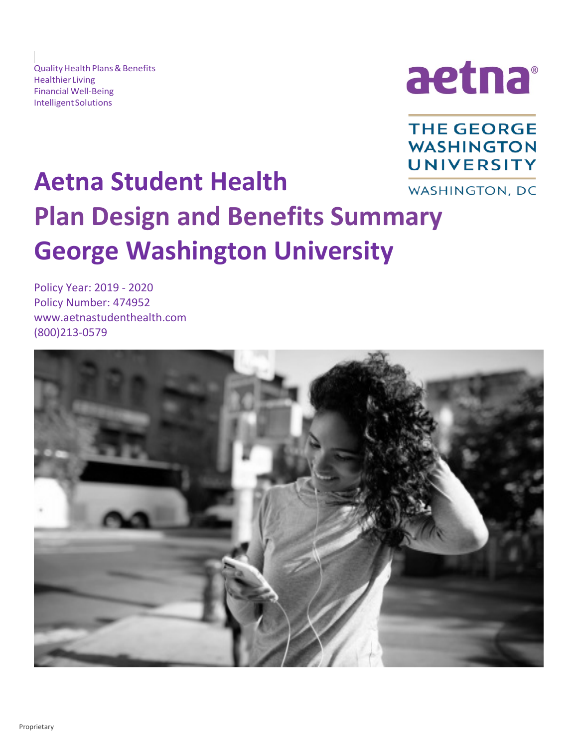Quality Health Plans & Benefits HealthierLiving **Financial Well-Being** Financial Well-Being<br>Intelligent Solutions



**THE GEORGE WASHINGTON UNIVERSITY** 

# **Aetna Student Health** WASHINGTON, DC **Plan Design and Benefits Summary George Washington University**

Policy Year: 2019 - 2020 Policy Number: 474952 [www.aetnastudenthealth.com](http://www.aetnastudenthealth.com)  (800)213-0579

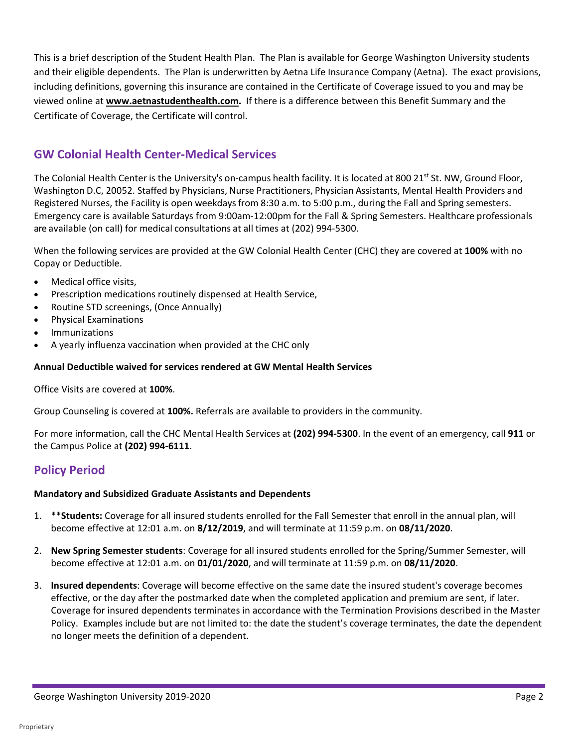This is a brief description of the Student Health Plan. The Plan is available for George Washington University students and their eligible dependents. The Plan is underwritten by Aetna Life Insurance Company (Aetna). The exact provisions, including definitions, governing this insurance are contained in the Certificate of Coverage issued to you and may be viewed online at **[www.aetnastudenthealth.com.](http://www.aetnastudenthealth.com)** If there is a difference between this Benefit Summary and the Certificate of Coverage, the Certificate will control.

# **GW Colonial Health Center-Medical Services**

The Colonial Health Center is the University's on-campus health facility. It is located at 800 21<sup>st</sup> St. NW, Ground Floor, Washington D.C, 20052. Staffed by Physicians, Nurse Practitioners, Physician Assistants, Mental Health Providers and Registered Nurses, the Facility is open weekdays from 8:30 a.m. to 5:00 p.m., during the Fall and Spring semesters. Emergency care is available Saturdays from 9:00am-12:00pm for the Fall & Spring Semesters. Healthcare professionals are available (on call) for medical consultations at all times at (202) 994-5300.

 When the following services are provided at the GW Colonial Health Center (CHC) they are covered at **100%** with no Copay or Deductible.

- Medical office visits,
- Prescription medications routinely dispensed at Health Service,
- Routine STD screenings, (Once Annually)
- Physical Examinations
- **Immunizations**
- A yearly influenza vaccination when provided at the CHC only

#### **Annual Deductible waived for services rendered at GW Mental Health Services**

Office Visits are covered at **100%**.

Group Counseling is covered at **100%.** Referrals are available to providers in the community.

 For more information, call the CHC Mental Health Services at **(202) 994-5300**. In the event of an emergency, call **911** or the Campus Police at **(202) 994-6111**.

# **Policy Period**

# **Mandatory and Subsidized Graduate Assistants and Dependents**

- 1. \*\***Students:** Coverage for all insured students enrolled for the Fall Semester that enroll in the annual plan, will become effective at 12:01 a.m. on **8/12/2019**, and will terminate at 11:59 p.m. on **08/11/2020**.
- 2. **New Spring Semester students**: Coverage for all insured students enrolled for the Spring/Summer Semester, will become effective at 12:01 a.m. on **01/01/2020**, and will terminate at 11:59 p.m. on **08/11/2020**.
- effective, or the day after the postmarked date when the completed application and premium are sent, if later. Coverage for insured dependents terminates in accordance with the Termination Provisions described in the Master Policy. Examples include but are not limited to: the date the student's coverage terminates, the date the dependent 3. **Insured dependents**: Coverage will become effective on the same date the insured student's coverage becomes no longer meets the definition of a dependent.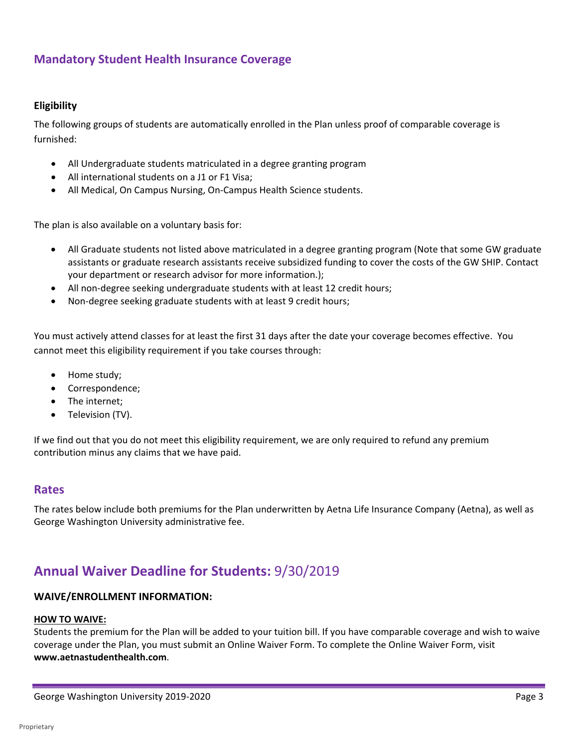# **Mandatory Student Health Insurance Coverage**

#### **Eligibility**

The following groups of students are automatically enrolled in the Plan unless proof of comparable coverage is furnished:

- All Undergraduate students matriculated in a degree granting program
- All international students on a J1 or F1 Visa;
- All Medical, On Campus Nursing, On-Campus Health Science students.

The plan is also available on a voluntary basis for:

- • All Graduate students not listed above matriculated in a degree granting program (Note that some GW graduate assistants or graduate research assistants receive subsidized funding to cover the costs of the GW SHIP. Contact your department or research advisor for more information.);
- All non-degree seeking undergraduate students with at least 12 credit hours;
- Non-degree seeking graduate students with at least 9 credit hours;

 cannot meet this eligibility requirement if you take courses through: You must actively attend classes for at least the first 31 days after the date your coverage becomes effective. You

- Home study;
- Correspondence;
- The internet;
- Television (TV).

 If we find out that you do not meet this eligibility requirement, we are only required to refund any premium contribution minus any claims that we have paid.

#### **Rates**

 George Washington University administrative fee. The rates below include both premiums for the Plan underwritten by Aetna Life Insurance Company (Aetna), as well as

# **Annual Waiver Deadline for Students:** 9/30/2019

#### **WAIVE/ENROLLMENT INFORMATION:**

#### **HOW TO WAIVE:**

Students the premium for the Plan will be added to your tuition bill. If you have comparable coverage and wish to waive coverage under the Plan, you must submit an Online Waiver Form. To complete the Online Waiver Form, visit **[www.aetnastudenthealth.com](http://www.aetnastudenthealth.com)**.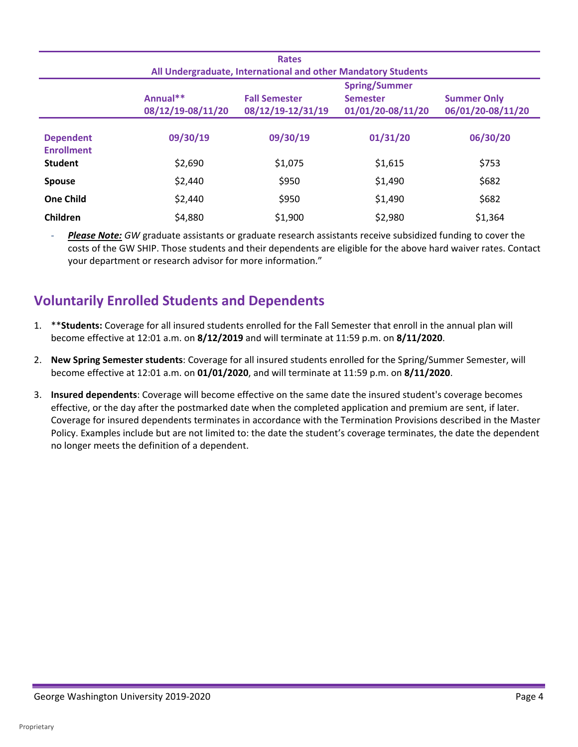| <b>Rates</b><br>All Undergraduate, International and other Mandatory Students |                               |                                           |                                                              |                                         |
|-------------------------------------------------------------------------------|-------------------------------|-------------------------------------------|--------------------------------------------------------------|-----------------------------------------|
|                                                                               | Annual**<br>08/12/19-08/11/20 | <b>Fall Semester</b><br>08/12/19-12/31/19 | <b>Spring/Summer</b><br><b>Semester</b><br>01/01/20-08/11/20 | <b>Summer Only</b><br>06/01/20-08/11/20 |
| <b>Dependent</b><br><b>Enrollment</b>                                         | 09/30/19                      | 09/30/19                                  | 01/31/20                                                     | 06/30/20                                |
| <b>Student</b><br><b>Spouse</b>                                               | \$2,690<br>\$2,440            | \$1,075<br>\$950                          | \$1,615<br>\$1,490                                           | \$753<br>\$682                          |
| <b>One Child</b>                                                              | \$2,440                       | \$950                                     | \$1,490                                                      | \$682                                   |
| Children                                                                      | \$4,880                       | \$1,900                                   | \$2,980                                                      | \$1,364                                 |

- *Please Note: GW* graduate assistants or graduate research assistants receive subsidized funding to cover the costs of the GW SHIP. Those students and their dependents are eligible for the above hard waiver rates. Contact your department or research advisor for more information."

# **Voluntarily Enrolled Students and Dependents**

- become effective at 12:01 a.m. on **8/12/2019** and will terminate at 11:59 p.m. on **8/11/2020**. 1. \*\***Students:** Coverage for all insured students enrolled for the Fall Semester that enroll in the annual plan will
- 2. **New Spring Semester students**: Coverage for all insured students enrolled for the Spring/Summer Semester, will become effective at 12:01 a.m. on **01/01/2020**, and will terminate at 11:59 p.m. on **8/11/2020**.
- effective, or the day after the postmarked date when the completed application and premium are sent, if later. 3. **Insured dependents**: Coverage will become effective on the same date the insured student's coverage becomes Coverage for insured dependents terminates in accordance with the Termination Provisions described in the Master Policy. Examples include but are not limited to: the date the student's coverage terminates, the date the dependent no longer meets the definition of a dependent.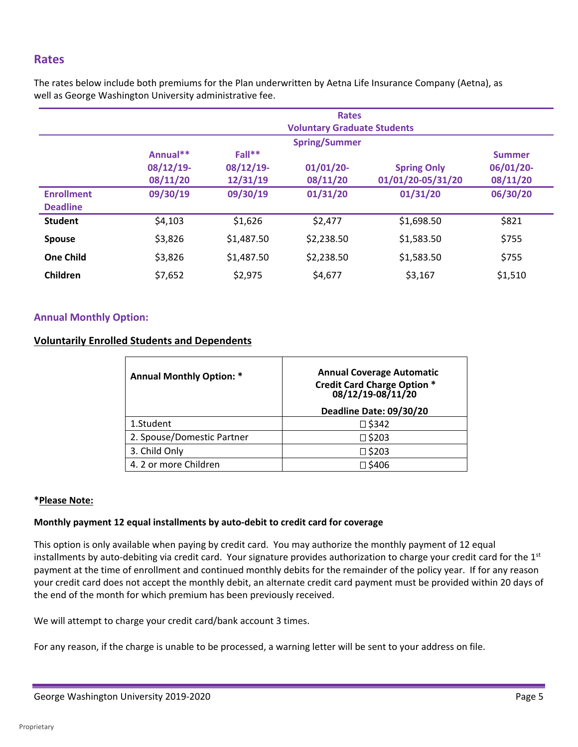# **Rates**

 well as George Washington University administrative fee. The rates below include both premiums for the Plan underwritten by Aetna Life Insurance Company (Aetna), as

|                   | <b>Rates</b><br><b>Voluntary Graduate Students</b> |            |            |                    |               |
|-------------------|----------------------------------------------------|------------|------------|--------------------|---------------|
|                   |                                                    |            |            |                    |               |
|                   | <b>Spring/Summer</b>                               |            |            |                    |               |
|                   | Annual**                                           | Fall**     |            |                    | <b>Summer</b> |
|                   | $08/12/19$ -                                       | 08/12/19-  | 01/01/20   | <b>Spring Only</b> | 06/01/20      |
|                   | 08/11/20                                           | 12/31/19   | 08/11/20   | 01/01/20-05/31/20  | 08/11/20      |
| <b>Enrollment</b> | 09/30/19                                           | 09/30/19   | 01/31/20   | 01/31/20           | 06/30/20      |
| <b>Deadline</b>   |                                                    |            |            |                    |               |
| <b>Student</b>    | \$4,103                                            | \$1,626    | \$2,477    | \$1,698.50         | \$821         |
| <b>Spouse</b>     | \$3,826                                            | \$1,487.50 | \$2,238.50 | \$1.583.50         | \$755         |
| <b>One Child</b>  | \$3,826                                            | \$1,487.50 | \$2,238.50 | \$1,583.50         | \$755         |
| Children          | \$7,652                                            | \$2,975    | \$4,677    | \$3,167            | \$1,510       |

#### **Annual Monthly Option:**

#### **Voluntarily Enrolled Students and Dependents**

| <b>Annual Monthly Option: *</b> | <b>Annual Coverage Automatic</b><br>Credit Card Charge Option *<br>08/12/19-08/11/20<br>Deadline Date: 09/30/20 |
|---------------------------------|-----------------------------------------------------------------------------------------------------------------|
| 1.Student                       | $\square$ \$342                                                                                                 |
| 2. Spouse/Domestic Partner      | □ \$203                                                                                                         |
| 3. Child Only                   | $\square$ \$203                                                                                                 |
| 4.2 or more Children            | □ \$406                                                                                                         |

#### **\*Please Note:**

#### **Monthly payment 12 equal installments by auto-debit to credit card for coverage**

This option is only available when paying by credit card. You may authorize the monthly payment of 12 equal installments by auto-debiting via credit card. Your signature provides authorization to charge your credit card for the  $1<sup>st</sup>$ payment at the time of enrollment and continued monthly debits for the remainder of the policy year. If for any reason your credit card does not accept the monthly debit, an alternate credit card payment must be provided within 20 days of the end of the month for which premium has been previously received.

We will attempt to charge your credit card/bank account 3 times.

For any reason, if the charge is unable to be processed, a warning letter will be sent to your address on file.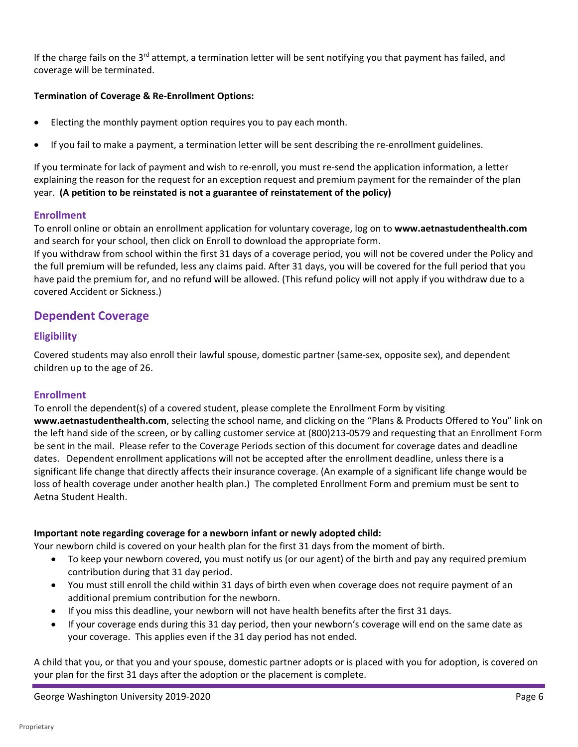If the charge fails on the 3<sup>rd</sup> attempt, a termination letter will be sent notifying you that payment has failed, and coverage will be terminated.

#### **Termination of Coverage & Re-Enrollment Options:**

- Electing the monthly payment option requires you to pay each month.
- If you fail to make a payment, a termination letter will be sent describing the re-enrollment guidelines.

 explaining the reason for the request for an exception request and premium payment for the remainder of the plan If you terminate for lack of payment and wish to re-enroll, you must re-send the application information, a letter year. **(A petition to be reinstated is not a guarantee of reinstatement of the policy)** 

#### **Enrollment**

To enroll online or obtain an enrollment application for voluntary coverage, log on to **www.aetnastudenthealth.com**  and search for your school, then click on Enroll to download the appropriate form.

If you withdraw from school within the first 31 days of a coverage period, you will not be covered under the Policy and the full premium will be refunded, less any claims paid. After 31 days, you will be covered for the full period that you have paid the premium for, and no refund will be allowed. (This refund policy will not apply if you withdraw due to a covered Accident or Sickness.)

# **Dependent Coverage**

#### **Eligibility**

 Covered students may also enroll their lawful spouse, domestic partner (same-sex, opposite sex), and dependent children up to the age of 26.

#### **Enrollment**

To enroll the dependent(s) of a covered student, please complete the Enrollment Form by visiting **www.aetnastudenthealth.com**, selecting the school name, and clicking on the "Plans & Products Offered to You" link on the left hand side of the screen, or by calling customer service at (800)213-0579 and requesting that an Enrollment Form be sent in the mail. Please refer to the Coverage Periods section of this document for coverage dates and deadline dates. Dependent enrollment applications will not be accepted after the enrollment deadline, unless there is a significant life change that directly affects their insurance coverage. (An example of a significant life change would be loss of health coverage under another health plan.) The completed Enrollment Form and premium must be sent to Aetna Student Health.

#### **Important note regarding coverage for a newborn infant or newly adopted child:**

Your newborn child is covered on your health plan for the first 31 days from the moment of birth.

- • To keep your newborn covered, you must notify us (or our agent) of the birth and pay any required premium contribution during that 31 day period.
- • You must still enroll the child within 31 days of birth even when coverage does not require payment of an additional premium contribution for the newborn.
- If you miss this deadline, your newborn will not have health benefits after the first 31 days.
- • If your coverage ends during this 31 day period, then your newborn's coverage will end on the same date as your coverage. This applies even if the 31 day period has not ended.

 A child that you, or that you and your spouse, domestic partner adopts or is placed with you for adoption, is covered on your plan for the first 31 days after the adoption or the placement is complete.

George Washington University 2019-2020 **Page 6** and the state of the state of the state of the state of the state of the state of the state of the state of the state of the state of the state of the state of the state of t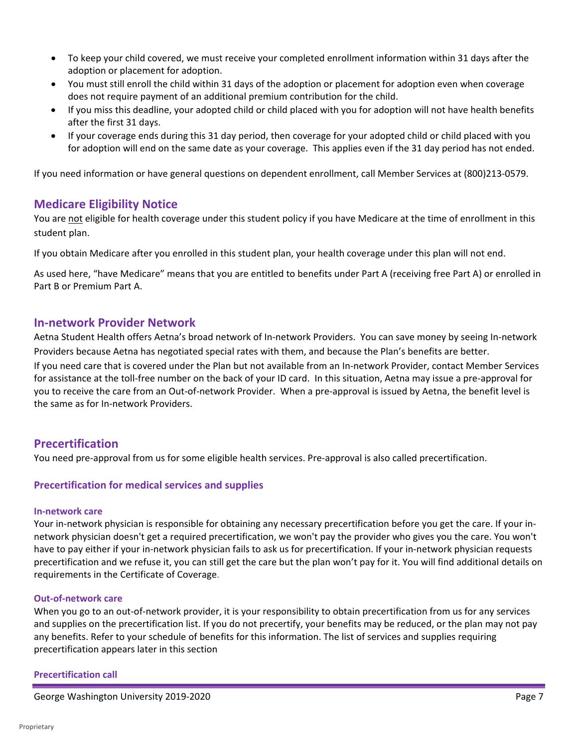- • To keep your child covered, we must receive your completed enrollment information within 31 days after the adoption or placement for adoption.
- does not require payment of an additional premium contribution for the child. • You must still enroll the child within 31 days of the adoption or placement for adoption even when coverage
- If you miss this deadline, your adopted child or child placed with you for adoption will not have health benefits after the first 31 days.
- • If your coverage ends during this 31 day period, then coverage for your adopted child or child placed with you for adoption will end on the same date as your coverage. This applies even if the 31 day period has not ended.

If you need information or have general questions on dependent enrollment, call Member Services at (800)213-0579.

# **Medicare Eligibility Notice**

You are not eligible for health coverage under this student policy if you have Medicare at the time of enrollment in this student plan.

If you obtain Medicare after you enrolled in this student plan, your health coverage under this plan will not end.

As used here, "have Medicare" means that you are entitled to benefits under Part A (receiving free Part A) or enrolled in Part B or Premium Part A.

# **In-network Provider Network**

Aetna Student Health offers Aetna's broad network of In-network Providers. You can save money by seeing In-network Providers because Aetna has negotiated special rates with them, and because the Plan's benefits are better.

 If you need care that is covered under the Plan but not available from an In-network Provider, contact Member Services for assistance at the toll-free number on the back of your ID card. In this situation, Aetna may issue a pre-approval for you to receive the care from an Out-of-network Provider. When a pre-approval is issued by Aetna, the benefit level is the same as for In-network Providers.

# **Precertification**

You need pre-approval from us for some eligible health services. Pre-approval is also called precertification.

#### **Precertification for medical services and supplies**

#### **In-network care**

 network physician doesn't get a required precertification, we won't pay the provider who gives you the care. You won't Your in-network physician is responsible for obtaining any necessary precertification before you get the care. If your inhave to pay either if your in-network physician fails to ask us for precertification. If your in-network physician requests precertification and we refuse it, you can still get the care but the plan won't pay for it. You will find additional details on requirements in the Certificate of Coverage.

#### **Out-of-network care**

 and supplies on the precertification list. If you do not precertify, your benefits may be reduced, or the plan may not pay When you go to an out-of-network provider, it is your responsibility to obtain precertification from us for any services any benefits. Refer to your schedule of benefits for this information. The list of services and supplies requiring precertification appears later in this section

#### **Precertification call**

George Washington University 2019-2020 **Page 7** Assembly 2019-2020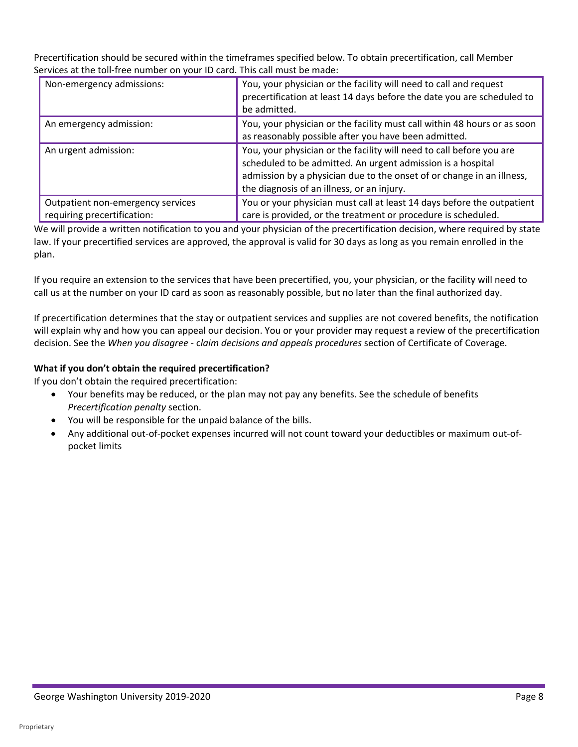Services at the toll-free number on your ID card. This call must be made: Precertification should be secured within the timeframes specified below. To obtain precertification, call Member

| Non-emergency admissions:                                        | You, your physician or the facility will need to call and request<br>precertification at least 14 days before the date you are scheduled to<br>be admitted.                                                                                                |
|------------------------------------------------------------------|------------------------------------------------------------------------------------------------------------------------------------------------------------------------------------------------------------------------------------------------------------|
| An emergency admission:                                          | You, your physician or the facility must call within 48 hours or as soon<br>as reasonably possible after you have been admitted.                                                                                                                           |
| An urgent admission:                                             | You, your physician or the facility will need to call before you are<br>scheduled to be admitted. An urgent admission is a hospital<br>admission by a physician due to the onset of or change in an illness,<br>the diagnosis of an illness, or an injury. |
| Outpatient non-emergency services<br>requiring precertification: | You or your physician must call at least 14 days before the outpatient<br>care is provided, or the treatment or procedure is scheduled.                                                                                                                    |

We will provide a written notification to you and your physician of the precertification decision, where required by state law. If your precertified services are approved, the approval is valid for 30 days as long as you remain enrolled in the plan.

If you require an extension to the services that have been precertified, you, your physician, or the facility will need to call us at the number on your ID card as soon as reasonably possible, but no later than the final authorized day.

 decision. See the *When you disagree -* c*laim decisions and appeals procedures* section of Certificate of Coverage. If precertification determines that the stay or outpatient services and supplies are not covered benefits, the notification will explain why and how you can appeal our decision. You or your provider may request a review of the precertification

#### **What if you don't obtain the required precertification?**

If you don't obtain the required precertification:

- *Precertification penalty* section. • Your benefits may be reduced, or the plan may not pay any benefits. See the schedule of benefits
- You will be responsible for the unpaid balance of the bills.
- • Any additional out-of-pocket expenses incurred will not count toward your deductibles or maximum out-ofpocket limits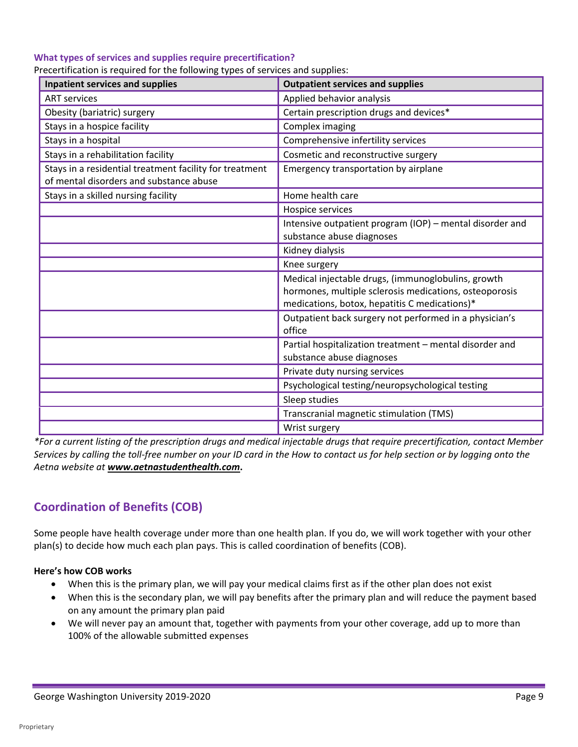#### **What types of services and supplies require precertification?**

| Precertification is required for the following types of services and supplies: |  |  |  |
|--------------------------------------------------------------------------------|--|--|--|
|                                                                                |  |  |  |

| Inpatient services and supplies                                                                    | <b>Outpatient services and supplies</b>                                                                                                                       |
|----------------------------------------------------------------------------------------------------|---------------------------------------------------------------------------------------------------------------------------------------------------------------|
| <b>ART services</b>                                                                                | Applied behavior analysis                                                                                                                                     |
| Obesity (bariatric) surgery                                                                        | Certain prescription drugs and devices*                                                                                                                       |
| Stays in a hospice facility                                                                        | Complex imaging                                                                                                                                               |
| Stays in a hospital                                                                                | Comprehensive infertility services                                                                                                                            |
| Stays in a rehabilitation facility                                                                 | Cosmetic and reconstructive surgery                                                                                                                           |
| Stays in a residential treatment facility for treatment<br>of mental disorders and substance abuse | Emergency transportation by airplane                                                                                                                          |
| Stays in a skilled nursing facility                                                                | Home health care                                                                                                                                              |
|                                                                                                    | Hospice services                                                                                                                                              |
|                                                                                                    | Intensive outpatient program (IOP) – mental disorder and<br>substance abuse diagnoses                                                                         |
|                                                                                                    | Kidney dialysis                                                                                                                                               |
|                                                                                                    | Knee surgery                                                                                                                                                  |
|                                                                                                    | Medical injectable drugs, (immunoglobulins, growth<br>hormones, multiple sclerosis medications, osteoporosis<br>medications, botox, hepatitis C medications)* |
|                                                                                                    | Outpatient back surgery not performed in a physician's<br>office                                                                                              |
|                                                                                                    | Partial hospitalization treatment - mental disorder and<br>substance abuse diagnoses                                                                          |
|                                                                                                    | Private duty nursing services                                                                                                                                 |
|                                                                                                    | Psychological testing/neuropsychological testing                                                                                                              |
|                                                                                                    | Sleep studies                                                                                                                                                 |
|                                                                                                    | Transcranial magnetic stimulation (TMS)                                                                                                                       |
|                                                                                                    | Wrist surgery                                                                                                                                                 |

*\*For a current listing of the prescription drugs and medical injectable drugs that require precertification, contact Member Services by calling the toll-free number on your ID card in the How to contact us for help section or by logging onto the Aetna website at [www.aetnastudenthealth.com](http://www.aetnastudenthealth.com)***.** 

# **Coordination of Benefits (COB)**

 Some people have health coverage under more than one health plan. If you do, we will work together with your other plan(s) to decide how much each plan pays. This is called coordination of benefits (COB).

#### **Here's how COB works**

- When this is the primary plan, we will pay your medical claims first as if the other plan does not exist
- • When this is the secondary plan, we will pay benefits after the primary plan and will reduce the payment based on any amount the primary plan paid
- • We will never pay an amount that, together with payments from your other coverage, add up to more than 100% of the allowable submitted expenses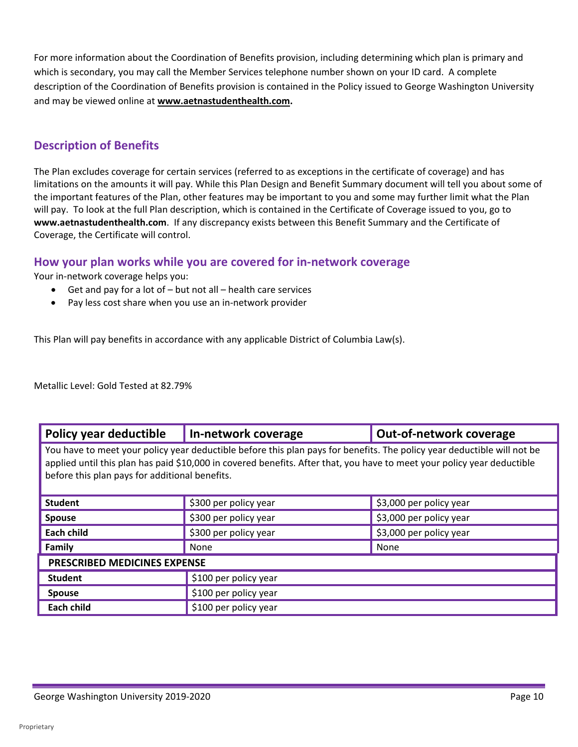For more information about the Coordination of Benefits provision, including determining which plan is primary and which is secondary, you may call the Member Services telephone number shown on your ID card. A complete description of the Coordination of Benefits provision is contained in the Policy issued to George Washington University and may be viewed online at **[www.aetnastudenthealth.com.](http://www.aetnastudenthealth.com)** 

# **Description of Benefits**

The Plan excludes coverage for certain services (referred to as exceptions in the certificate of coverage) and has limitations on the amounts it will pay. While this Plan Design and Benefit Summary document will tell you about some of the important features of the Plan, other features may be important to you and some may further limit what the Plan will pay. To look at the full Plan description, which is contained in the Certificate of Coverage issued to you, go to **[www.aetnastudenthealth.com](http://www.aetnastudenthealth.com)**. If any discrepancy exists between this Benefit Summary and the Certificate of Coverage, the Certificate will control.

# **How your plan works while you are covered for in-network coverage**

Your in-network coverage helps you:

- Get and pay for a lot of but not all health care services
- Pay less cost share when you use an in-network provider

This Plan will pay benefits in accordance with any applicable District of Columbia Law(s).

Metallic Level: Gold Tested at 82.79%

| Policy year deductible                                                                                                                                                                                                                                                                               | In-network coverage   | <b>Out-of-network coverage</b> |  |  |
|------------------------------------------------------------------------------------------------------------------------------------------------------------------------------------------------------------------------------------------------------------------------------------------------------|-----------------------|--------------------------------|--|--|
| You have to meet your policy year deductible before this plan pays for benefits. The policy year deductible will not be<br>applied until this plan has paid \$10,000 in covered benefits. After that, you have to meet your policy year deductible<br>before this plan pays for additional benefits. |                       |                                |  |  |
| <b>Student</b>                                                                                                                                                                                                                                                                                       | \$300 per policy year | \$3,000 per policy year        |  |  |
| <b>Spouse</b>                                                                                                                                                                                                                                                                                        | \$300 per policy year | \$3,000 per policy year        |  |  |
| <b>Each child</b>                                                                                                                                                                                                                                                                                    | \$300 per policy year | \$3,000 per policy year        |  |  |
| Family                                                                                                                                                                                                                                                                                               | None                  | None                           |  |  |
| PRESCRIBED MEDICINES EXPENSE                                                                                                                                                                                                                                                                         |                       |                                |  |  |
| <b>Student</b>                                                                                                                                                                                                                                                                                       | \$100 per policy year |                                |  |  |
| <b>Spouse</b>                                                                                                                                                                                                                                                                                        | \$100 per policy year |                                |  |  |
| <b>Each child</b>                                                                                                                                                                                                                                                                                    | \$100 per policy year |                                |  |  |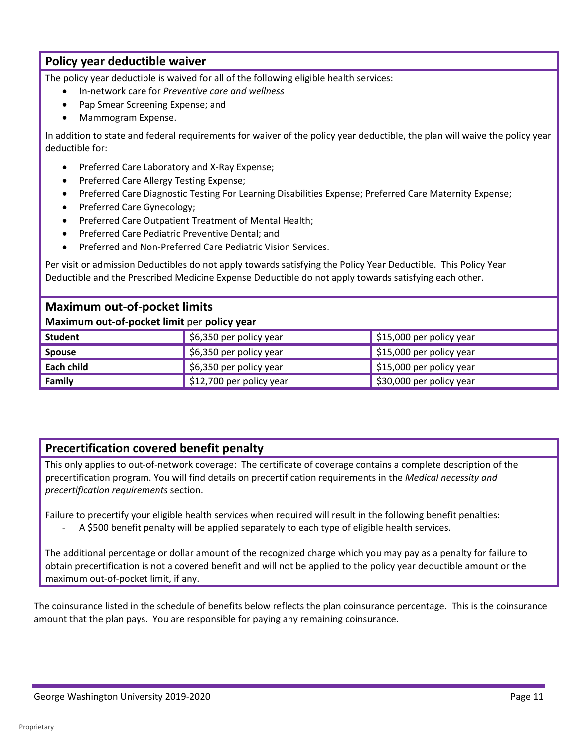# **Policy year deductible waiver**

The policy year deductible is waived for all of the following eligible health services:

- In-network care for *Preventive care and wellness*
- Pap Smear Screening Expense; and
- Mammogram Expense.

In addition to state and federal requirements for waiver of the policy year deductible, the plan will waive the policy year deductible for:

- Preferred Care Laboratory and X-Ray Expense;
- Preferred Care Allergy Testing Expense;
- Preferred Care Diagnostic Testing For Learning Disabilities Expense; Preferred Care Maternity Expense;
- Preferred Care Gynecology;
- Preferred Care Outpatient Treatment of Mental Health;
- Preferred Care Pediatric Preventive Dental; and
- Preferred and Non-Preferred Care Pediatric Vision Services.

Per visit or admission Deductibles do not apply towards satisfying the Policy Year Deductible. This Policy Year Deductible and the Prescribed Medicine Expense Deductible do not apply towards satisfying each other.

# **Maximum out-of-pocket limits**

#### **Maximum out-of-pocket limit** per **policy year**

| Student       | $\frac{1}{2}$ \$6,350 per policy year | $\frac{1}{2}$ \$15,000 per policy year |
|---------------|---------------------------------------|----------------------------------------|
| <b>Spouse</b> | $\frac{1}{2}$ \$6,350 per policy year | $\frac{1}{2}$ \$15,000 per policy year |
| Each child    | $\frac{1}{2}$ \$6,350 per policy year | $\vert$ \$15,000 per policy year       |
| Family        | \$12,700 per policy year              | $\frac{1}{2}$ \$30,000 per policy year |

# **Precertification covered benefit penalty**

This only applies to out-of-network coverage: The certificate of coverage contains a complete description of the precertification program. You will find details on precertification requirements in the *Medical necessity and precertification requirements* section.

Failure to precertify your eligible health services when required will result in the following benefit penalties:

A \$500 benefit penalty will be applied separately to each type of eligible health services.

The additional percentage or dollar amount of the recognized charge which you may pay as a penalty for failure to obtain precertification is not a covered benefit and will not be applied to the policy year deductible amount or the maximum out-of-pocket limit, if any.

 The coinsurance listed in the schedule of benefits below reflects the plan coinsurance percentage. This is the coinsurance amount that the plan pays. You are responsible for paying any remaining coinsurance.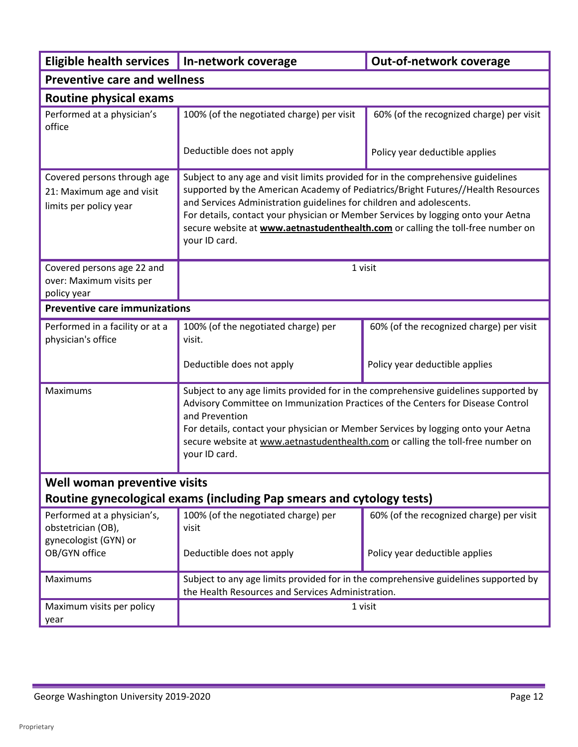| <b>Eligible health services</b>                                                             | In-network coverage                                                                                                                                                                                                                                                                                                                                                                                                                   | Out-of-network coverage                                                             |  |  |
|---------------------------------------------------------------------------------------------|---------------------------------------------------------------------------------------------------------------------------------------------------------------------------------------------------------------------------------------------------------------------------------------------------------------------------------------------------------------------------------------------------------------------------------------|-------------------------------------------------------------------------------------|--|--|
| <b>Preventive care and wellness</b>                                                         |                                                                                                                                                                                                                                                                                                                                                                                                                                       |                                                                                     |  |  |
| <b>Routine physical exams</b>                                                               |                                                                                                                                                                                                                                                                                                                                                                                                                                       |                                                                                     |  |  |
| Performed at a physician's<br>office                                                        | 100% (of the negotiated charge) per visit                                                                                                                                                                                                                                                                                                                                                                                             | 60% (of the recognized charge) per visit                                            |  |  |
|                                                                                             | Deductible does not apply                                                                                                                                                                                                                                                                                                                                                                                                             | Policy year deductible applies                                                      |  |  |
| Covered persons through age<br>21: Maximum age and visit<br>limits per policy year          | Subject to any age and visit limits provided for in the comprehensive guidelines<br>supported by the American Academy of Pediatrics/Bright Futures//Health Resources<br>and Services Administration guidelines for children and adolescents.<br>For details, contact your physician or Member Services by logging onto your Aetna<br>secure website at www.aetnastudenthealth.com or calling the toll-free number on<br>your ID card. |                                                                                     |  |  |
| Covered persons age 22 and<br>over: Maximum visits per<br>policy year                       |                                                                                                                                                                                                                                                                                                                                                                                                                                       | 1 visit                                                                             |  |  |
| <b>Preventive care immunizations</b>                                                        |                                                                                                                                                                                                                                                                                                                                                                                                                                       |                                                                                     |  |  |
| Performed in a facility or at a<br>physician's office                                       | 100% (of the negotiated charge) per<br>visit.                                                                                                                                                                                                                                                                                                                                                                                         | 60% (of the recognized charge) per visit                                            |  |  |
|                                                                                             | Deductible does not apply                                                                                                                                                                                                                                                                                                                                                                                                             | Policy year deductible applies                                                      |  |  |
| Maximums                                                                                    | Subject to any age limits provided for in the comprehensive guidelines supported by<br>Advisory Committee on Immunization Practices of the Centers for Disease Control<br>and Prevention<br>For details, contact your physician or Member Services by logging onto your Aetna<br>secure website at www.aetnastudenthealth.com or calling the toll-free number on<br>your ID card.                                                     |                                                                                     |  |  |
| Well woman preventive visits                                                                |                                                                                                                                                                                                                                                                                                                                                                                                                                       |                                                                                     |  |  |
|                                                                                             | Routine gynecological exams (including Pap smears and cytology tests)                                                                                                                                                                                                                                                                                                                                                                 |                                                                                     |  |  |
| Performed at a physician's,<br>obstetrician (OB),<br>gynecologist (GYN) or<br>OB/GYN office | 100% (of the negotiated charge) per<br>visit<br>Deductible does not apply                                                                                                                                                                                                                                                                                                                                                             | 60% (of the recognized charge) per visit<br>Policy year deductible applies          |  |  |
|                                                                                             |                                                                                                                                                                                                                                                                                                                                                                                                                                       |                                                                                     |  |  |
| Maximums<br>the Health Resources and Services Administration.                               |                                                                                                                                                                                                                                                                                                                                                                                                                                       | Subject to any age limits provided for in the comprehensive guidelines supported by |  |  |
| Maximum visits per policy<br>year                                                           | 1 visit                                                                                                                                                                                                                                                                                                                                                                                                                               |                                                                                     |  |  |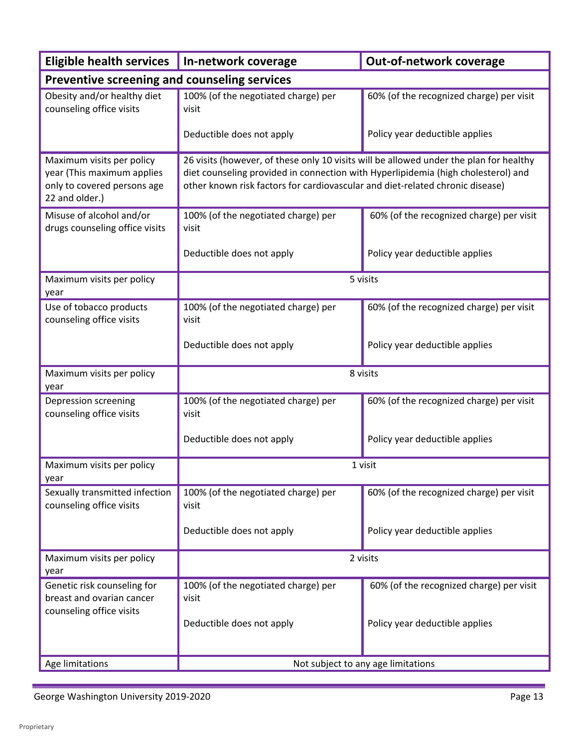| <b>Eligible health services</b>                                                                          | In-network coverage                                                                                                                                                                                                                                          | Out-of-network coverage                  |  |  |
|----------------------------------------------------------------------------------------------------------|--------------------------------------------------------------------------------------------------------------------------------------------------------------------------------------------------------------------------------------------------------------|------------------------------------------|--|--|
| Preventive screening and counseling services                                                             |                                                                                                                                                                                                                                                              |                                          |  |  |
| Obesity and/or healthy diet<br>counseling office visits                                                  | 100% (of the negotiated charge) per<br>visit                                                                                                                                                                                                                 | 60% (of the recognized charge) per visit |  |  |
|                                                                                                          | Deductible does not apply                                                                                                                                                                                                                                    | Policy year deductible applies           |  |  |
| Maximum visits per policy<br>year (This maximum applies<br>only to covered persons age<br>22 and older.) | 26 visits (however, of these only 10 visits will be allowed under the plan for healthy<br>diet counseling provided in connection with Hyperlipidemia (high cholesterol) and<br>other known risk factors for cardiovascular and diet-related chronic disease) |                                          |  |  |
| Misuse of alcohol and/or<br>drugs counseling office visits                                               | 100% (of the negotiated charge) per<br>visit                                                                                                                                                                                                                 | 60% (of the recognized charge) per visit |  |  |
|                                                                                                          | Deductible does not apply                                                                                                                                                                                                                                    | Policy year deductible applies           |  |  |
| Maximum visits per policy<br>year                                                                        |                                                                                                                                                                                                                                                              | 5 visits                                 |  |  |
| Use of tobacco products<br>counseling office visits                                                      | 100% (of the negotiated charge) per<br>visit                                                                                                                                                                                                                 | 60% (of the recognized charge) per visit |  |  |
|                                                                                                          | Deductible does not apply                                                                                                                                                                                                                                    | Policy year deductible applies           |  |  |
| Maximum visits per policy<br>year                                                                        | 8 visits                                                                                                                                                                                                                                                     |                                          |  |  |
| Depression screening<br>counseling office visits                                                         | 100% (of the negotiated charge) per<br>visit                                                                                                                                                                                                                 | 60% (of the recognized charge) per visit |  |  |
|                                                                                                          | Deductible does not apply                                                                                                                                                                                                                                    | Policy year deductible applies           |  |  |
| Maximum visits per policy<br>year                                                                        |                                                                                                                                                                                                                                                              | 1 visit                                  |  |  |
| Sexually transmitted infection<br>counseling office visits                                               | 100% (of the negotiated charge) per<br>visit                                                                                                                                                                                                                 | 60% (of the recognized charge) per visit |  |  |
|                                                                                                          | Deductible does not apply                                                                                                                                                                                                                                    | Policy year deductible applies           |  |  |
| Maximum visits per policy<br>year                                                                        | 2 visits                                                                                                                                                                                                                                                     |                                          |  |  |
| Genetic risk counseling for<br>breast and ovarian cancer<br>counseling office visits                     | 100% (of the negotiated charge) per<br>visit                                                                                                                                                                                                                 | 60% (of the recognized charge) per visit |  |  |
|                                                                                                          | Deductible does not apply                                                                                                                                                                                                                                    | Policy year deductible applies           |  |  |
| Age limitations                                                                                          | Not subject to any age limitations                                                                                                                                                                                                                           |                                          |  |  |

÷.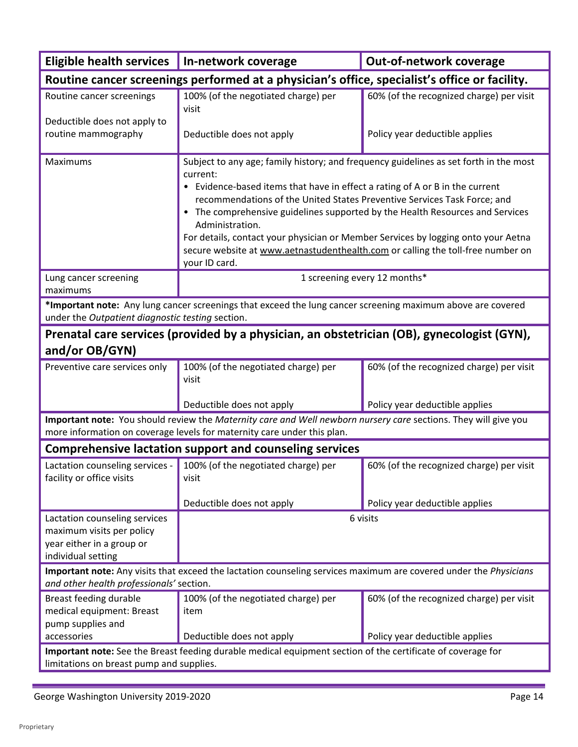| <b>Eligible health services</b>                                                                                                                         | In-network coverage                                                                                                                                                                                                                                                                                                                                                                                                                                                                                                                                        | Out-of-network coverage                  |  |
|---------------------------------------------------------------------------------------------------------------------------------------------------------|------------------------------------------------------------------------------------------------------------------------------------------------------------------------------------------------------------------------------------------------------------------------------------------------------------------------------------------------------------------------------------------------------------------------------------------------------------------------------------------------------------------------------------------------------------|------------------------------------------|--|
| Routine cancer screenings performed at a physician's office, specialist's office or facility.                                                           |                                                                                                                                                                                                                                                                                                                                                                                                                                                                                                                                                            |                                          |  |
| Routine cancer screenings                                                                                                                               | 100% (of the negotiated charge) per                                                                                                                                                                                                                                                                                                                                                                                                                                                                                                                        | 60% (of the recognized charge) per visit |  |
| Deductible does not apply to                                                                                                                            | visit                                                                                                                                                                                                                                                                                                                                                                                                                                                                                                                                                      |                                          |  |
| routine mammography                                                                                                                                     | Deductible does not apply                                                                                                                                                                                                                                                                                                                                                                                                                                                                                                                                  | Policy year deductible applies           |  |
| Maximums                                                                                                                                                | Subject to any age; family history; and frequency guidelines as set forth in the most<br>current:<br>• Evidence-based items that have in effect a rating of A or B in the current<br>recommendations of the United States Preventive Services Task Force; and<br>• The comprehensive guidelines supported by the Health Resources and Services<br>Administration.<br>For details, contact your physician or Member Services by logging onto your Aetna<br>secure website at www.aetnastudenthealth.com or calling the toll-free number on<br>your ID card. |                                          |  |
| Lung cancer screening<br>maximums                                                                                                                       |                                                                                                                                                                                                                                                                                                                                                                                                                                                                                                                                                            | 1 screening every 12 months*             |  |
| under the Outpatient diagnostic testing section.                                                                                                        | *Important note: Any lung cancer screenings that exceed the lung cancer screening maximum above are covered                                                                                                                                                                                                                                                                                                                                                                                                                                                |                                          |  |
|                                                                                                                                                         | Prenatal care services (provided by a physician, an obstetrician (OB), gynecologist (GYN),                                                                                                                                                                                                                                                                                                                                                                                                                                                                 |                                          |  |
| and/or OB/GYN)                                                                                                                                          |                                                                                                                                                                                                                                                                                                                                                                                                                                                                                                                                                            |                                          |  |
| Preventive care services only                                                                                                                           | 100% (of the negotiated charge) per<br>visit                                                                                                                                                                                                                                                                                                                                                                                                                                                                                                               | 60% (of the recognized charge) per visit |  |
|                                                                                                                                                         | Deductible does not apply                                                                                                                                                                                                                                                                                                                                                                                                                                                                                                                                  | Policy year deductible applies           |  |
|                                                                                                                                                         | Important note: You should review the Maternity care and Well newborn nursery care sections. They will give you<br>more information on coverage levels for maternity care under this plan.                                                                                                                                                                                                                                                                                                                                                                 |                                          |  |
|                                                                                                                                                         | <b>Comprehensive lactation support and counseling services</b>                                                                                                                                                                                                                                                                                                                                                                                                                                                                                             |                                          |  |
| facility or office visits                                                                                                                               | Lactation counseling services - $\vert$ 100% (of the negotiated charge) per<br>visit                                                                                                                                                                                                                                                                                                                                                                                                                                                                       | 60% (of the recognized charge) per visit |  |
|                                                                                                                                                         | Deductible does not apply                                                                                                                                                                                                                                                                                                                                                                                                                                                                                                                                  | Policy year deductible applies           |  |
| Lactation counseling services<br>maximum visits per policy<br>year either in a group or<br>individual setting                                           | 6 visits                                                                                                                                                                                                                                                                                                                                                                                                                                                                                                                                                   |                                          |  |
|                                                                                                                                                         | Important note: Any visits that exceed the lactation counseling services maximum are covered under the Physicians                                                                                                                                                                                                                                                                                                                                                                                                                                          |                                          |  |
| and other health professionals' section.                                                                                                                |                                                                                                                                                                                                                                                                                                                                                                                                                                                                                                                                                            |                                          |  |
| Breast feeding durable<br>medical equipment: Breast<br>pump supplies and                                                                                | 100% (of the negotiated charge) per<br>item                                                                                                                                                                                                                                                                                                                                                                                                                                                                                                                | 60% (of the recognized charge) per visit |  |
| accessories                                                                                                                                             | Deductible does not apply                                                                                                                                                                                                                                                                                                                                                                                                                                                                                                                                  | Policy year deductible applies           |  |
| Important note: See the Breast feeding durable medical equipment section of the certificate of coverage for<br>limitations on breast pump and supplies. |                                                                                                                                                                                                                                                                                                                                                                                                                                                                                                                                                            |                                          |  |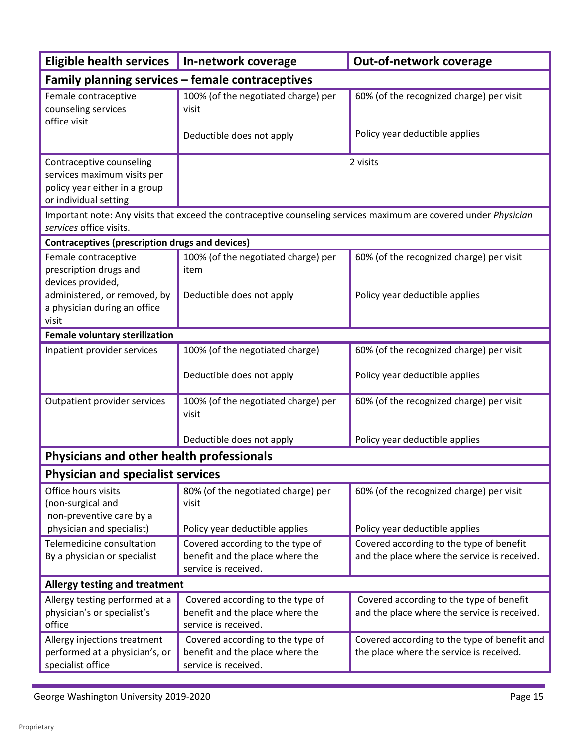| <b>Eligible health services</b>                                                                                                     | In-network coverage                                                                                                          | Out-of-network coverage                                                                  |  |  |  |
|-------------------------------------------------------------------------------------------------------------------------------------|------------------------------------------------------------------------------------------------------------------------------|------------------------------------------------------------------------------------------|--|--|--|
| Family planning services - female contraceptives                                                                                    |                                                                                                                              |                                                                                          |  |  |  |
| Female contraceptive<br>counseling services<br>office visit                                                                         | 100% (of the negotiated charge) per<br>visit<br>Deductible does not apply                                                    | 60% (of the recognized charge) per visit<br>Policy year deductible applies               |  |  |  |
| Contraceptive counseling<br>services maximum visits per<br>policy year either in a group<br>or individual setting                   | 2 visits<br>Important note: Any visits that exceed the contraceptive counseling services maximum are covered under Physician |                                                                                          |  |  |  |
| services office visits.                                                                                                             |                                                                                                                              |                                                                                          |  |  |  |
| <b>Contraceptives (prescription drugs and devices)</b>                                                                              |                                                                                                                              |                                                                                          |  |  |  |
| Female contraceptive<br>prescription drugs and<br>devices provided,<br>administered, or removed, by<br>a physician during an office | 100% (of the negotiated charge) per<br>item<br>Deductible does not apply                                                     | 60% (of the recognized charge) per visit<br>Policy year deductible applies               |  |  |  |
| visit                                                                                                                               |                                                                                                                              |                                                                                          |  |  |  |
| <b>Female voluntary sterilization</b>                                                                                               |                                                                                                                              |                                                                                          |  |  |  |
| Inpatient provider services                                                                                                         | 100% (of the negotiated charge)                                                                                              | 60% (of the recognized charge) per visit                                                 |  |  |  |
|                                                                                                                                     | Deductible does not apply                                                                                                    | Policy year deductible applies                                                           |  |  |  |
| Outpatient provider services                                                                                                        | 100% (of the negotiated charge) per<br>visit                                                                                 | 60% (of the recognized charge) per visit                                                 |  |  |  |
|                                                                                                                                     | Deductible does not apply                                                                                                    | Policy year deductible applies                                                           |  |  |  |
| Physicians and other health professionals                                                                                           |                                                                                                                              |                                                                                          |  |  |  |
| <b>Physician and specialist services</b>                                                                                            |                                                                                                                              |                                                                                          |  |  |  |
| Office hours visits<br>(non-surgical and<br>non-preventive care by a                                                                | 80% (of the negotiated charge) per<br>visit                                                                                  | 60% (of the recognized charge) per visit                                                 |  |  |  |
| physician and specialist)                                                                                                           | Policy year deductible applies                                                                                               | Policy year deductible applies                                                           |  |  |  |
| Telemedicine consultation<br>By a physician or specialist                                                                           | Covered according to the type of<br>benefit and the place where the<br>service is received.                                  | Covered according to the type of benefit<br>and the place where the service is received. |  |  |  |
| Allergy testing and treatment                                                                                                       |                                                                                                                              |                                                                                          |  |  |  |
| Allergy testing performed at a<br>physician's or specialist's<br>office                                                             | Covered according to the type of<br>benefit and the place where the<br>service is received.                                  | Covered according to the type of benefit<br>and the place where the service is received. |  |  |  |
| Allergy injections treatment<br>performed at a physician's, or<br>specialist office                                                 | Covered according to the type of<br>benefit and the place where the<br>service is received.                                  | Covered according to the type of benefit and<br>the place where the service is received. |  |  |  |

÷,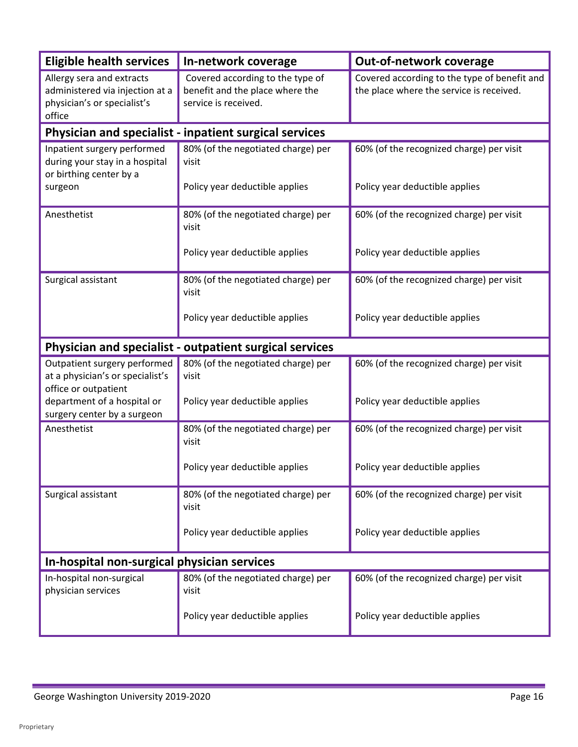| <b>Eligible health services</b>                                                                       | In-network coverage                                                                         | Out-of-network coverage                                                                  |
|-------------------------------------------------------------------------------------------------------|---------------------------------------------------------------------------------------------|------------------------------------------------------------------------------------------|
| Allergy sera and extracts<br>administered via injection at a<br>physician's or specialist's<br>office | Covered according to the type of<br>benefit and the place where the<br>service is received. | Covered according to the type of benefit and<br>the place where the service is received. |
|                                                                                                       | Physician and specialist - inpatient surgical services                                      |                                                                                          |
| Inpatient surgery performed<br>during your stay in a hospital<br>or birthing center by a              | 80% (of the negotiated charge) per<br>visit                                                 | 60% (of the recognized charge) per visit                                                 |
| surgeon                                                                                               | Policy year deductible applies                                                              | Policy year deductible applies                                                           |
| Anesthetist                                                                                           | 80% (of the negotiated charge) per<br>visit                                                 | 60% (of the recognized charge) per visit                                                 |
|                                                                                                       | Policy year deductible applies                                                              | Policy year deductible applies                                                           |
| Surgical assistant                                                                                    | 80% (of the negotiated charge) per<br>visit                                                 | 60% (of the recognized charge) per visit                                                 |
|                                                                                                       | Policy year deductible applies                                                              | Policy year deductible applies                                                           |
|                                                                                                       | Physician and specialist - outpatient surgical services                                     |                                                                                          |
| Outpatient surgery performed<br>at a physician's or specialist's<br>office or outpatient              | 80% (of the negotiated charge) per<br>visit                                                 | 60% (of the recognized charge) per visit                                                 |
| department of a hospital or<br>surgery center by a surgeon                                            | Policy year deductible applies                                                              | Policy year deductible applies                                                           |
| Anesthetist                                                                                           | 80% (of the negotiated charge) per<br>visit                                                 | 60% (of the recognized charge) per visit                                                 |
|                                                                                                       | Policy year deductible applies                                                              | Policy year deductible applies                                                           |
| Surgical assistant                                                                                    | 80% (of the negotiated charge) per<br>visit                                                 | 60% (of the recognized charge) per visit                                                 |
|                                                                                                       | Policy year deductible applies                                                              | Policy year deductible applies                                                           |
| In-hospital non-surgical physician services                                                           |                                                                                             |                                                                                          |
| In-hospital non-surgical<br>physician services                                                        | 80% (of the negotiated charge) per<br>visit                                                 | 60% (of the recognized charge) per visit                                                 |
|                                                                                                       | Policy year deductible applies                                                              | Policy year deductible applies                                                           |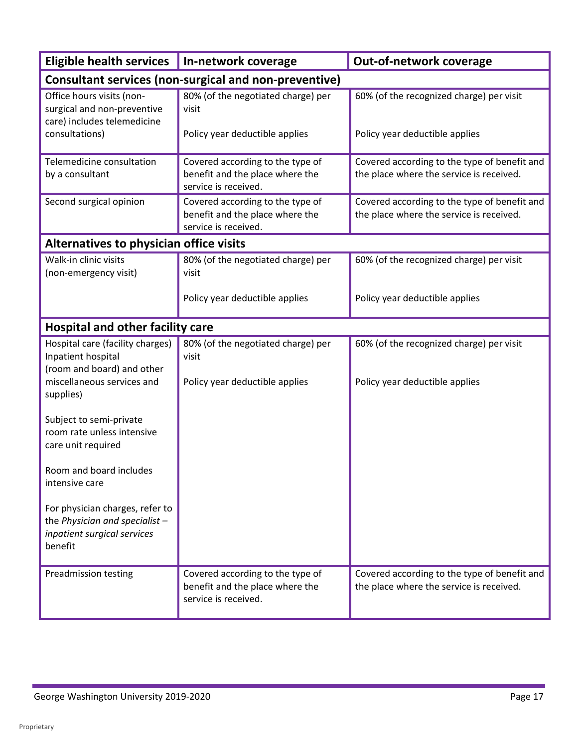| <b>Eligible health services</b>                                                                               | In-network coverage                                                                         | Out-of-network coverage                                                                  |  |
|---------------------------------------------------------------------------------------------------------------|---------------------------------------------------------------------------------------------|------------------------------------------------------------------------------------------|--|
| <b>Consultant services (non-surgical and non-preventive)</b>                                                  |                                                                                             |                                                                                          |  |
| Office hours visits (non-<br>surgical and non-preventive<br>care) includes telemedicine                       | 80% (of the negotiated charge) per<br>visit                                                 | 60% (of the recognized charge) per visit                                                 |  |
| consultations)                                                                                                | Policy year deductible applies                                                              | Policy year deductible applies                                                           |  |
| Telemedicine consultation<br>by a consultant                                                                  | Covered according to the type of<br>benefit and the place where the<br>service is received. | Covered according to the type of benefit and<br>the place where the service is received. |  |
| Second surgical opinion                                                                                       | Covered according to the type of<br>benefit and the place where the<br>service is received. | Covered according to the type of benefit and<br>the place where the service is received. |  |
| Alternatives to physician office visits                                                                       |                                                                                             |                                                                                          |  |
| Walk-in clinic visits<br>(non-emergency visit)                                                                | 80% (of the negotiated charge) per<br>visit                                                 | 60% (of the recognized charge) per visit                                                 |  |
|                                                                                                               | Policy year deductible applies                                                              | Policy year deductible applies                                                           |  |
| Hospital and other facility care                                                                              |                                                                                             |                                                                                          |  |
| Hospital care (facility charges)<br>Inpatient hospital<br>(room and board) and other                          | 80% (of the negotiated charge) per<br>visit                                                 | 60% (of the recognized charge) per visit                                                 |  |
| miscellaneous services and<br>supplies)                                                                       | Policy year deductible applies                                                              | Policy year deductible applies                                                           |  |
| Subject to semi-private<br>room rate unless intensive<br>care unit required                                   |                                                                                             |                                                                                          |  |
| Room and board includes<br>intensive care                                                                     |                                                                                             |                                                                                          |  |
| For physician charges, refer to<br>the Physician and specialist $-$<br>inpatient surgical services<br>benefit |                                                                                             |                                                                                          |  |
| Preadmission testing                                                                                          | Covered according to the type of<br>benefit and the place where the<br>service is received. | Covered according to the type of benefit and<br>the place where the service is received. |  |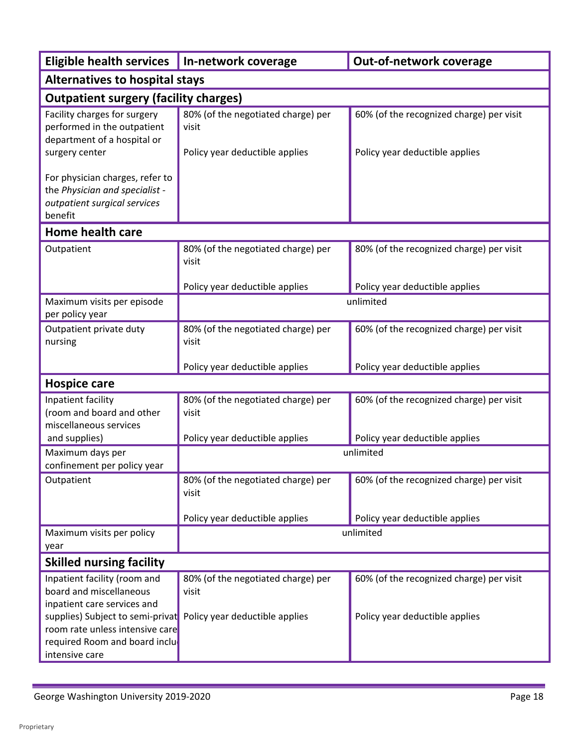| <b>Eligible health services</b>                                                                                                                       | In-network coverage<br>Out-of-network coverage |                                          |  |  |  |
|-------------------------------------------------------------------------------------------------------------------------------------------------------|------------------------------------------------|------------------------------------------|--|--|--|
| <b>Alternatives to hospital stays</b>                                                                                                                 |                                                |                                          |  |  |  |
|                                                                                                                                                       | <b>Outpatient surgery (facility charges)</b>   |                                          |  |  |  |
| Facility charges for surgery<br>performed in the outpatient<br>department of a hospital or                                                            | 80% (of the negotiated charge) per<br>visit    | 60% (of the recognized charge) per visit |  |  |  |
| surgery center                                                                                                                                        | Policy year deductible applies                 | Policy year deductible applies           |  |  |  |
| For physician charges, refer to<br>the Physician and specialist -<br>outpatient surgical services<br>benefit                                          |                                                |                                          |  |  |  |
| <b>Home health care</b>                                                                                                                               |                                                |                                          |  |  |  |
| Outpatient                                                                                                                                            | 80% (of the negotiated charge) per<br>visit    | 80% (of the recognized charge) per visit |  |  |  |
|                                                                                                                                                       | Policy year deductible applies                 | Policy year deductible applies           |  |  |  |
| Maximum visits per episode<br>per policy year                                                                                                         | unlimited                                      |                                          |  |  |  |
| Outpatient private duty<br>nursing                                                                                                                    | 80% (of the negotiated charge) per<br>visit    | 60% (of the recognized charge) per visit |  |  |  |
|                                                                                                                                                       | Policy year deductible applies                 | Policy year deductible applies           |  |  |  |
| <b>Hospice care</b>                                                                                                                                   |                                                |                                          |  |  |  |
| Inpatient facility<br>(room and board and other<br>miscellaneous services                                                                             | 80% (of the negotiated charge) per<br>visit    | 60% (of the recognized charge) per visit |  |  |  |
| and supplies)                                                                                                                                         | Policy year deductible applies                 | Policy year deductible applies           |  |  |  |
| Maximum days per<br>confinement per policy year                                                                                                       |                                                | unlimited                                |  |  |  |
| Outpatient                                                                                                                                            | 80% (of the negotiated charge) per<br>visit    | 60% (of the recognized charge) per visit |  |  |  |
|                                                                                                                                                       | Policy year deductible applies                 | Policy year deductible applies           |  |  |  |
| Maximum visits per policy<br>year                                                                                                                     |                                                | unlimited                                |  |  |  |
| <b>Skilled nursing facility</b>                                                                                                                       |                                                |                                          |  |  |  |
| Inpatient facility (room and<br>board and miscellaneous<br>inpatient care services and                                                                | 80% (of the negotiated charge) per<br>visit    | 60% (of the recognized charge) per visit |  |  |  |
| supplies) Subject to semi-privat Policy year deductible applies<br>room rate unless intensive care<br>required Room and board inclu<br>intensive care |                                                | Policy year deductible applies           |  |  |  |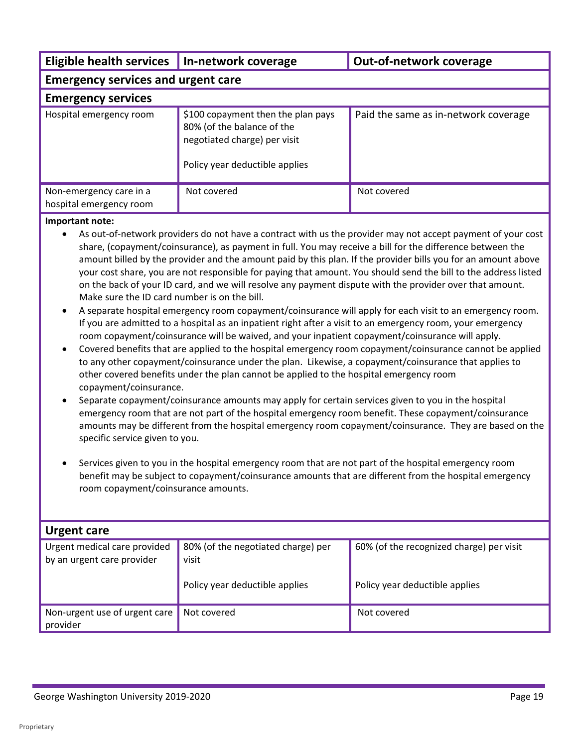| Eligible health services   In-network coverage     |                                                                                                                                    | <b>Out-of-network coverage</b>       |  |
|----------------------------------------------------|------------------------------------------------------------------------------------------------------------------------------------|--------------------------------------|--|
| <b>Emergency services and urgent care</b>          |                                                                                                                                    |                                      |  |
| <b>Emergency services</b>                          |                                                                                                                                    |                                      |  |
| Hospital emergency room                            | \$100 copayment then the plan pays<br>80% (of the balance of the<br>negotiated charge) per visit<br>Policy year deductible applies | Paid the same as in-network coverage |  |
| Non-emergency care in a<br>hospital emergency room | Not covered                                                                                                                        | Not covered                          |  |

#### **Important note:**

- • As out-of-network providers do not have a contract with us the provider may not accept payment of your cost amount billed by the provider and the amount paid by this plan. If the provider bills you for an amount above share, (copayment/coinsurance), as payment in full. You may receive a bill for the difference between the your cost share, you are not responsible for paying that amount. You should send the bill to the address listed on the back of your ID card, and we will resolve any payment dispute with the provider over that amount. Make sure the ID card number is on the bill.
- • A separate hospital emergency room copayment/coinsurance will apply for each visit to an emergency room. If you are admitted to a hospital as an inpatient right after a visit to an emergency room, your emergency room copayment/coinsurance will be waived, and your inpatient copayment/coinsurance will apply.
- • Covered benefits that are applied to the hospital emergency room copayment/coinsurance cannot be applied to any other copayment/coinsurance under the plan. Likewise, a copayment/coinsurance that applies to other covered benefits under the plan cannot be applied to the hospital emergency room copayment/coinsurance.
- Separate copayment/coinsurance amounts may apply for certain services given to you in the hospital emergency room that are not part of the hospital emergency room benefit. These copayment/coinsurance amounts may be different from the hospital emergency room copayment/coinsurance. They are based on the specific service given to you.
- benefit may be subject to copayment/coinsurance amounts that are different from the hospital emergency room copayment/coinsurance amounts. • Services given to you in the hospital emergency room that are not part of the hospital emergency room

| <b>Urgent care</b>                                         |                                                                               |                                                                            |  |
|------------------------------------------------------------|-------------------------------------------------------------------------------|----------------------------------------------------------------------------|--|
| Urgent medical care provided<br>by an urgent care provider | 80% (of the negotiated charge) per<br>visit<br>Policy year deductible applies | 60% (of the recognized charge) per visit<br>Policy year deductible applies |  |
|                                                            |                                                                               |                                                                            |  |
| Non-urgent use of urgent care<br>provider                  | Not covered                                                                   | Not covered                                                                |  |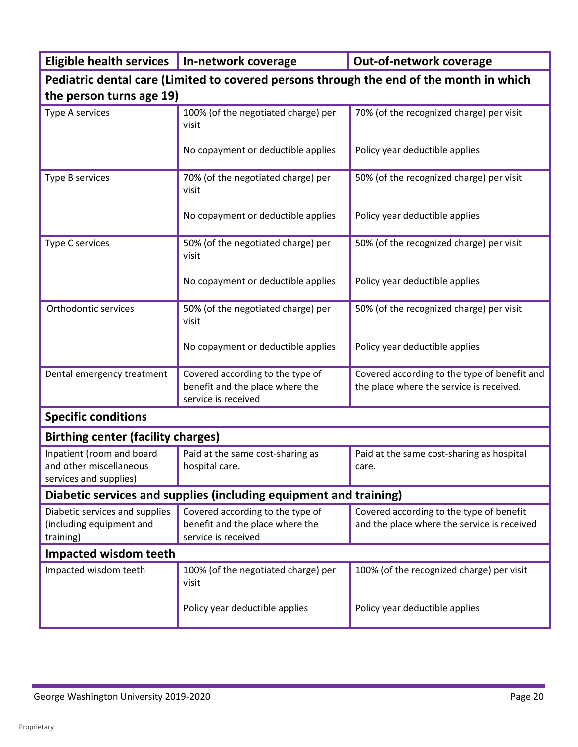| Eligible health services   In-network coverage                                          |                                                                                            | Out-of-network coverage                                                                  |  |
|-----------------------------------------------------------------------------------------|--------------------------------------------------------------------------------------------|------------------------------------------------------------------------------------------|--|
| Pediatric dental care (Limited to covered persons through the end of the month in which |                                                                                            |                                                                                          |  |
| the person turns age 19)                                                                |                                                                                            |                                                                                          |  |
| Type A services                                                                         | 100% (of the negotiated charge) per<br>visit                                               | 70% (of the recognized charge) per visit                                                 |  |
|                                                                                         | No copayment or deductible applies                                                         | Policy year deductible applies                                                           |  |
| Type B services                                                                         | 70% (of the negotiated charge) per<br>visit                                                | 50% (of the recognized charge) per visit                                                 |  |
|                                                                                         | No copayment or deductible applies                                                         | Policy year deductible applies                                                           |  |
| Type C services                                                                         | 50% (of the negotiated charge) per<br>visit                                                | 50% (of the recognized charge) per visit                                                 |  |
|                                                                                         | No copayment or deductible applies                                                         | Policy year deductible applies                                                           |  |
| Orthodontic services                                                                    | 50% (of the negotiated charge) per<br>visit                                                | 50% (of the recognized charge) per visit                                                 |  |
|                                                                                         | No copayment or deductible applies                                                         | Policy year deductible applies                                                           |  |
| Dental emergency treatment                                                              | Covered according to the type of<br>benefit and the place where the<br>service is received | Covered according to the type of benefit and<br>the place where the service is received. |  |
| <b>Specific conditions</b>                                                              |                                                                                            |                                                                                          |  |
| <b>Birthing center (facility charges)</b>                                               |                                                                                            |                                                                                          |  |
| Inpatient (room and board<br>and other miscellaneous<br>services and supplies)          | Paid at the same cost-sharing as<br>hospital care.                                         | Paid at the same cost-sharing as hospital<br>care.                                       |  |
|                                                                                         | Diabetic services and supplies (including equipment and training)                          |                                                                                          |  |
| Diabetic services and supplies<br>(including equipment and<br>training)                 | Covered according to the type of<br>benefit and the place where the<br>service is received | Covered according to the type of benefit<br>and the place where the service is received  |  |
| <b>Impacted wisdom teeth</b>                                                            |                                                                                            |                                                                                          |  |
| Impacted wisdom teeth                                                                   | 100% (of the negotiated charge) per<br>visit                                               | 100% (of the recognized charge) per visit                                                |  |
|                                                                                         | Policy year deductible applies                                                             | Policy year deductible applies                                                           |  |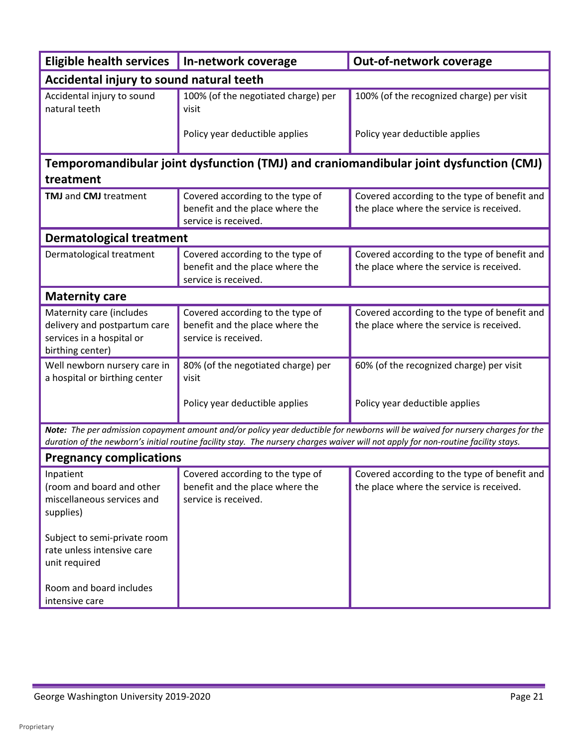| <b>Eligible health services</b>                                                                           | In-network coverage                                                                         | Out-of-network coverage                                                                                                                                                                                                                                              |
|-----------------------------------------------------------------------------------------------------------|---------------------------------------------------------------------------------------------|----------------------------------------------------------------------------------------------------------------------------------------------------------------------------------------------------------------------------------------------------------------------|
| Accidental injury to sound natural teeth                                                                  |                                                                                             |                                                                                                                                                                                                                                                                      |
| Accidental injury to sound<br>natural teeth                                                               | 100% (of the negotiated charge) per<br>visit                                                | 100% (of the recognized charge) per visit                                                                                                                                                                                                                            |
|                                                                                                           | Policy year deductible applies                                                              | Policy year deductible applies                                                                                                                                                                                                                                       |
| treatment                                                                                                 |                                                                                             | Temporomandibular joint dysfunction (TMJ) and craniomandibular joint dysfunction (CMJ)                                                                                                                                                                               |
| <b>TMJ</b> and <b>CMJ</b> treatment                                                                       | Covered according to the type of<br>benefit and the place where the<br>service is received. | Covered according to the type of benefit and<br>the place where the service is received.                                                                                                                                                                             |
| <b>Dermatological treatment</b>                                                                           |                                                                                             |                                                                                                                                                                                                                                                                      |
| Dermatological treatment                                                                                  | Covered according to the type of<br>benefit and the place where the<br>service is received. | Covered according to the type of benefit and<br>the place where the service is received.                                                                                                                                                                             |
| <b>Maternity care</b>                                                                                     |                                                                                             |                                                                                                                                                                                                                                                                      |
| Maternity care (includes<br>delivery and postpartum care<br>services in a hospital or<br>birthing center) | Covered according to the type of<br>benefit and the place where the<br>service is received. | Covered according to the type of benefit and<br>the place where the service is received.                                                                                                                                                                             |
| Well newborn nursery care in<br>a hospital or birthing center                                             | 80% (of the negotiated charge) per<br>visit                                                 | 60% (of the recognized charge) per visit                                                                                                                                                                                                                             |
|                                                                                                           | Policy year deductible applies                                                              | Policy year deductible applies                                                                                                                                                                                                                                       |
|                                                                                                           |                                                                                             | Note: The per admission copayment amount and/or policy year deductible for newborns will be waived for nursery charges for the<br>duration of the newborn's initial routine facility stay. The nursery charges waiver will not apply for non-routine facility stays. |
| <b>Pregnancy complications</b>                                                                            |                                                                                             |                                                                                                                                                                                                                                                                      |
| inpatient<br>(room and board and other<br>miscellaneous services and<br>supplies)                         | Covered according to the type of<br>benefit and the place where the<br>service is received. | Covered according to the type of benefit and<br>the place where the service is received.                                                                                                                                                                             |
| Subject to semi-private room<br>rate unless intensive care<br>unit required                               |                                                                                             |                                                                                                                                                                                                                                                                      |
| Room and board includes<br>intensive care                                                                 |                                                                                             |                                                                                                                                                                                                                                                                      |

L

÷,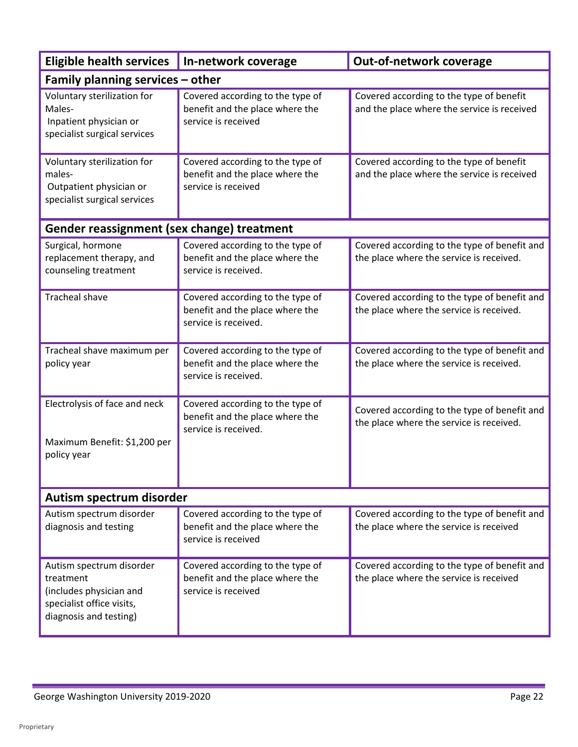| <b>Eligible health services</b>                                                                                         | In-network coverage                                                                         | Out-of-network coverage                                                                  |  |  |
|-------------------------------------------------------------------------------------------------------------------------|---------------------------------------------------------------------------------------------|------------------------------------------------------------------------------------------|--|--|
|                                                                                                                         | Family planning services – other                                                            |                                                                                          |  |  |
| Voluntary sterilization for<br>Males-<br>Inpatient physician or<br>specialist surgical services                         | Covered according to the type of<br>benefit and the place where the<br>service is received  | Covered according to the type of benefit<br>and the place where the service is received  |  |  |
| Voluntary sterilization for<br>males-<br>Outpatient physician or<br>specialist surgical services                        | Covered according to the type of<br>benefit and the place where the<br>service is received  | Covered according to the type of benefit<br>and the place where the service is received  |  |  |
| Gender reassignment (sex change) treatment                                                                              |                                                                                             |                                                                                          |  |  |
| Surgical, hormone<br>replacement therapy, and<br>counseling treatment                                                   | Covered according to the type of<br>benefit and the place where the<br>service is received. | Covered according to the type of benefit and<br>the place where the service is received. |  |  |
| <b>Tracheal shave</b>                                                                                                   | Covered according to the type of<br>benefit and the place where the<br>service is received. | Covered according to the type of benefit and<br>the place where the service is received. |  |  |
| Tracheal shave maximum per<br>policy year                                                                               | Covered according to the type of<br>benefit and the place where the<br>service is received. | Covered according to the type of benefit and<br>the place where the service is received. |  |  |
| Electrolysis of face and neck<br>Maximum Benefit: \$1,200 per<br>policy year                                            | Covered according to the type of<br>benefit and the place where the<br>service is received. | Covered according to the type of benefit and<br>the place where the service is received. |  |  |
| Autism spectrum disorder                                                                                                |                                                                                             |                                                                                          |  |  |
| Autism spectrum disorder<br>diagnosis and testing                                                                       | Covered according to the type of<br>benefit and the place where the<br>service is received  | Covered according to the type of benefit and<br>the place where the service is received  |  |  |
| Autism spectrum disorder<br>treatment<br>(includes physician and<br>specialist office visits,<br>diagnosis and testing) | Covered according to the type of<br>benefit and the place where the<br>service is received  | Covered according to the type of benefit and<br>the place where the service is received  |  |  |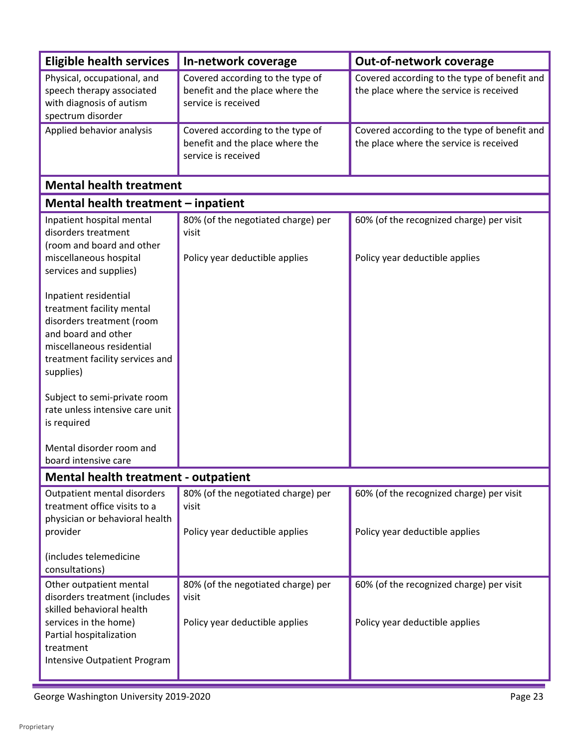| <b>Eligible health services</b>                                                                                                                                                                                                                                                                                                                     | In-network coverage                                                                        | <b>Out-of-network coverage</b>                                                          |
|-----------------------------------------------------------------------------------------------------------------------------------------------------------------------------------------------------------------------------------------------------------------------------------------------------------------------------------------------------|--------------------------------------------------------------------------------------------|-----------------------------------------------------------------------------------------|
| Physical, occupational, and<br>speech therapy associated<br>with diagnosis of autism<br>spectrum disorder                                                                                                                                                                                                                                           | Covered according to the type of<br>benefit and the place where the<br>service is received | Covered according to the type of benefit and<br>the place where the service is received |
| Applied behavior analysis                                                                                                                                                                                                                                                                                                                           | Covered according to the type of<br>benefit and the place where the<br>service is received | Covered according to the type of benefit and<br>the place where the service is received |
| <b>Mental health treatment</b>                                                                                                                                                                                                                                                                                                                      |                                                                                            |                                                                                         |
| Mental health treatment – inpatient                                                                                                                                                                                                                                                                                                                 |                                                                                            |                                                                                         |
| Inpatient hospital mental<br>disorders treatment<br>(room and board and other<br>miscellaneous hospital                                                                                                                                                                                                                                             | 80% (of the negotiated charge) per<br>visit<br>Policy year deductible applies              | 60% (of the recognized charge) per visit<br>Policy year deductible applies              |
| services and supplies)<br>Inpatient residential<br>treatment facility mental<br>disorders treatment (room<br>and board and other<br>miscellaneous residential<br>treatment facility services and<br>supplies)<br>Subject to semi-private room<br>rate unless intensive care unit<br>is required<br>Mental disorder room and<br>board intensive care |                                                                                            |                                                                                         |
| <b>Mental health treatment - outpatient</b>                                                                                                                                                                                                                                                                                                         |                                                                                            |                                                                                         |
| Outpatient mental disorders<br>treatment office visits to a<br>physician or behavioral health<br>provider                                                                                                                                                                                                                                           | 80% (of the negotiated charge) per<br>visit<br>Policy year deductible applies              | 60% (of the recognized charge) per visit<br>Policy year deductible applies              |
| (includes telemedicine<br>consultations)                                                                                                                                                                                                                                                                                                            |                                                                                            |                                                                                         |
| Other outpatient mental<br>disorders treatment (includes<br>skilled behavioral health<br>services in the home)<br>Partial hospitalization<br>treatment<br>Intensive Outpatient Program                                                                                                                                                              | 80% (of the negotiated charge) per<br>visit<br>Policy year deductible applies              | 60% (of the recognized charge) per visit<br>Policy year deductible applies              |

Ĺ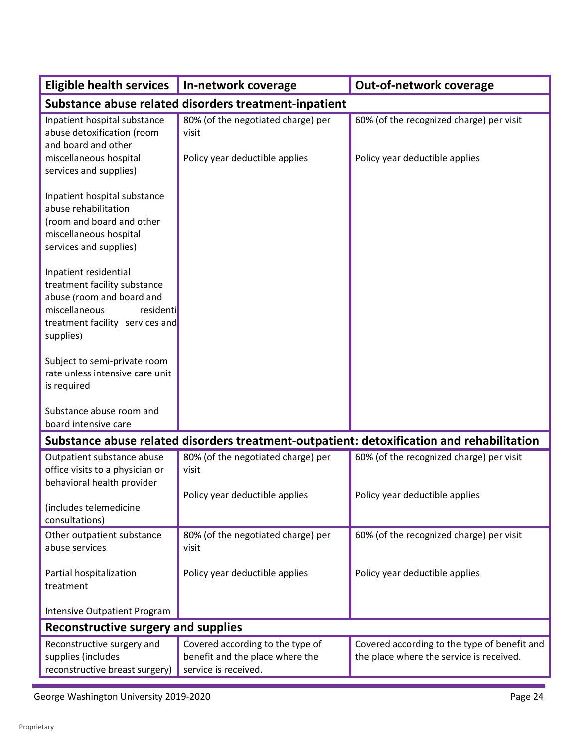| <b>Eligible health services</b>                                                                                  | In-network coverage                                                           | Out-of-network coverage                                                                   |  |  |
|------------------------------------------------------------------------------------------------------------------|-------------------------------------------------------------------------------|-------------------------------------------------------------------------------------------|--|--|
| Substance abuse related disorders treatment-inpatient                                                            |                                                                               |                                                                                           |  |  |
| Inpatient hospital substance<br>abuse detoxification (room<br>and board and other<br>miscellaneous hospital      | 80% (of the negotiated charge) per<br>visit<br>Policy year deductible applies | 60% (of the recognized charge) per visit<br>Policy year deductible applies                |  |  |
| services and supplies)                                                                                           |                                                                               |                                                                                           |  |  |
| Inpatient hospital substance<br>abuse rehabilitation<br>(room and board and other                                |                                                                               |                                                                                           |  |  |
| miscellaneous hospital<br>services and supplies)                                                                 |                                                                               |                                                                                           |  |  |
| Inpatient residential<br>treatment facility substance<br>abuse (room and board and<br>miscellaneous<br>residenti |                                                                               |                                                                                           |  |  |
| treatment facility services and<br>supplies)                                                                     |                                                                               |                                                                                           |  |  |
| Subject to semi-private room<br>rate unless intensive care unit<br>is required                                   |                                                                               |                                                                                           |  |  |
| Substance abuse room and<br>board intensive care                                                                 |                                                                               |                                                                                           |  |  |
|                                                                                                                  |                                                                               | Substance abuse related disorders treatment-outpatient: detoxification and rehabilitation |  |  |
| Outpatient substance abuse<br>office visits to a physician or<br>behavioral health provider                      | 80% (of the negotiated charge) per<br>visit                                   | 60% (of the recognized charge) per visit                                                  |  |  |
| (includes telemedicine<br>consultations)                                                                         | Policy year deductible applies                                                | Policy year deductible applies                                                            |  |  |
| Other outpatient substance<br>abuse services                                                                     | 80% (of the negotiated charge) per<br>visit                                   | 60% (of the recognized charge) per visit                                                  |  |  |
| Partial hospitalization<br>treatment                                                                             | Policy year deductible applies                                                | Policy year deductible applies                                                            |  |  |
| Intensive Outpatient Program                                                                                     |                                                                               |                                                                                           |  |  |
| Reconstructive surgery and supplies                                                                              |                                                                               |                                                                                           |  |  |
| Reconstructive surgery and<br>supplies (includes                                                                 | Covered according to the type of<br>benefit and the place where the           | Covered according to the type of benefit and<br>the place where the service is received.  |  |  |
| reconstructive breast surgery)                                                                                   | service is received.                                                          |                                                                                           |  |  |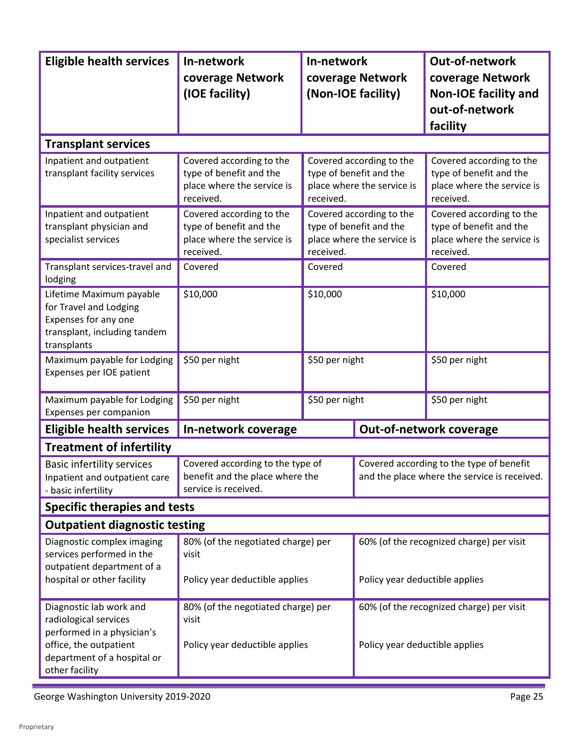| <b>Eligible health services</b>                                                                                                                           | In-network                                                                                     | In-network     |                                                                                   | Out-of-network                                                                                 |
|-----------------------------------------------------------------------------------------------------------------------------------------------------------|------------------------------------------------------------------------------------------------|----------------|-----------------------------------------------------------------------------------|------------------------------------------------------------------------------------------------|
|                                                                                                                                                           | coverage Network                                                                               |                | coverage Network                                                                  | coverage Network                                                                               |
|                                                                                                                                                           | (IOE facility)                                                                                 |                | (Non-IOE facility)                                                                | <b>Non-IOE facility and</b>                                                                    |
|                                                                                                                                                           |                                                                                                |                |                                                                                   | out-of-network                                                                                 |
|                                                                                                                                                           |                                                                                                |                |                                                                                   | facility                                                                                       |
| <b>Transplant services</b>                                                                                                                                |                                                                                                |                |                                                                                   |                                                                                                |
| Inpatient and outpatient<br>transplant facility services                                                                                                  | Covered according to the<br>type of benefit and the<br>place where the service is<br>received. | received.      | Covered according to the<br>type of benefit and the<br>place where the service is | Covered according to the<br>type of benefit and the<br>place where the service is<br>received. |
| Inpatient and outpatient<br>transplant physician and<br>specialist services                                                                               | Covered according to the<br>type of benefit and the<br>place where the service is<br>received. | received.      | Covered according to the<br>type of benefit and the<br>place where the service is | Covered according to the<br>type of benefit and the<br>place where the service is<br>received. |
| Transplant services-travel and<br>lodging                                                                                                                 | Covered                                                                                        | Covered        |                                                                                   | Covered                                                                                        |
| Lifetime Maximum payable<br>for Travel and Lodging<br>Expenses for any one<br>transplant, including tandem<br>transplants                                 | \$10,000                                                                                       | \$10,000       |                                                                                   | \$10,000                                                                                       |
| Maximum payable for Lodging<br>Expenses per IOE patient                                                                                                   | \$50 per night                                                                                 | \$50 per night |                                                                                   | \$50 per night                                                                                 |
| Maximum payable for Lodging<br>Expenses per companion                                                                                                     | \$50 per night                                                                                 | \$50 per night |                                                                                   | \$50 per night                                                                                 |
| <b>Eligible health services</b>                                                                                                                           | In-network coverage                                                                            |                |                                                                                   | Out-of-network coverage                                                                        |
| <b>Treatment of infertility</b>                                                                                                                           |                                                                                                |                |                                                                                   |                                                                                                |
| <b>Basic infertility services</b><br>Inpatient and outpatient care<br>- basic infertility                                                                 | Covered according to the type of<br>benefit and the place where the<br>service is received.    |                |                                                                                   | Covered according to the type of benefit<br>and the place where the service is received.       |
| <b>Specific therapies and tests</b>                                                                                                                       |                                                                                                |                |                                                                                   |                                                                                                |
| <b>Outpatient diagnostic testing</b>                                                                                                                      |                                                                                                |                |                                                                                   |                                                                                                |
| Diagnostic complex imaging<br>services performed in the<br>outpatient department of a<br>hospital or other facility                                       | 80% (of the negotiated charge) per<br>visit<br>Policy year deductible applies                  |                | Policy year deductible applies                                                    | 60% (of the recognized charge) per visit                                                       |
| Diagnostic lab work and<br>radiological services<br>performed in a physician's<br>office, the outpatient<br>department of a hospital or<br>other facility | 80% (of the negotiated charge) per<br>visit<br>Policy year deductible applies                  |                | Policy year deductible applies                                                    | 60% (of the recognized charge) per visit                                                       |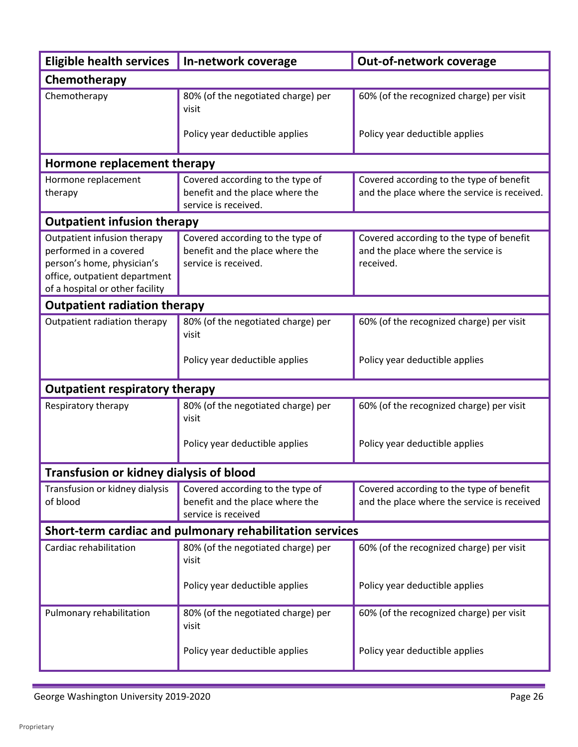| <b>Eligible health services</b>                                                                                                                         | In-network coverage                                                                         | Out-of-network coverage                                                                     |  |
|---------------------------------------------------------------------------------------------------------------------------------------------------------|---------------------------------------------------------------------------------------------|---------------------------------------------------------------------------------------------|--|
| Chemotherapy                                                                                                                                            |                                                                                             |                                                                                             |  |
| Chemotherapy                                                                                                                                            | 80% (of the negotiated charge) per<br>visit                                                 | 60% (of the recognized charge) per visit                                                    |  |
|                                                                                                                                                         | Policy year deductible applies                                                              | Policy year deductible applies                                                              |  |
| Hormone replacement therapy                                                                                                                             |                                                                                             |                                                                                             |  |
| Hormone replacement<br>therapy                                                                                                                          | Covered according to the type of<br>benefit and the place where the<br>service is received. | Covered according to the type of benefit<br>and the place where the service is received.    |  |
| <b>Outpatient infusion therapy</b>                                                                                                                      |                                                                                             |                                                                                             |  |
| Outpatient infusion therapy<br>performed in a covered<br>person's home, physician's<br>office, outpatient department<br>of a hospital or other facility | Covered according to the type of<br>benefit and the place where the<br>service is received. | Covered according to the type of benefit<br>and the place where the service is<br>received. |  |
| <b>Outpatient radiation therapy</b>                                                                                                                     |                                                                                             |                                                                                             |  |
| Outpatient radiation therapy                                                                                                                            | 80% (of the negotiated charge) per<br>visit                                                 | 60% (of the recognized charge) per visit                                                    |  |
|                                                                                                                                                         | Policy year deductible applies                                                              | Policy year deductible applies                                                              |  |
| <b>Outpatient respiratory therapy</b>                                                                                                                   |                                                                                             |                                                                                             |  |
| Respiratory therapy                                                                                                                                     | 80% (of the negotiated charge) per<br>visit                                                 | 60% (of the recognized charge) per visit                                                    |  |
|                                                                                                                                                         | Policy year deductible applies                                                              | Policy year deductible applies                                                              |  |
| Transfusion or kidney dialysis of blood                                                                                                                 |                                                                                             |                                                                                             |  |
| Transfusion or kidney dialysis<br>of blood                                                                                                              | Covered according to the type of<br>benefit and the place where the<br>service is received  | Covered according to the type of benefit<br>and the place where the service is received     |  |
|                                                                                                                                                         | Short-term cardiac and pulmonary rehabilitation services                                    |                                                                                             |  |
| Cardiac rehabilitation                                                                                                                                  | 80% (of the negotiated charge) per<br>visit                                                 | 60% (of the recognized charge) per visit                                                    |  |
|                                                                                                                                                         | Policy year deductible applies                                                              | Policy year deductible applies                                                              |  |
| Pulmonary rehabilitation                                                                                                                                | 80% (of the negotiated charge) per<br>visit                                                 | 60% (of the recognized charge) per visit                                                    |  |
|                                                                                                                                                         | Policy year deductible applies                                                              | Policy year deductible applies                                                              |  |

г

 $\overline{\phantom{a}}$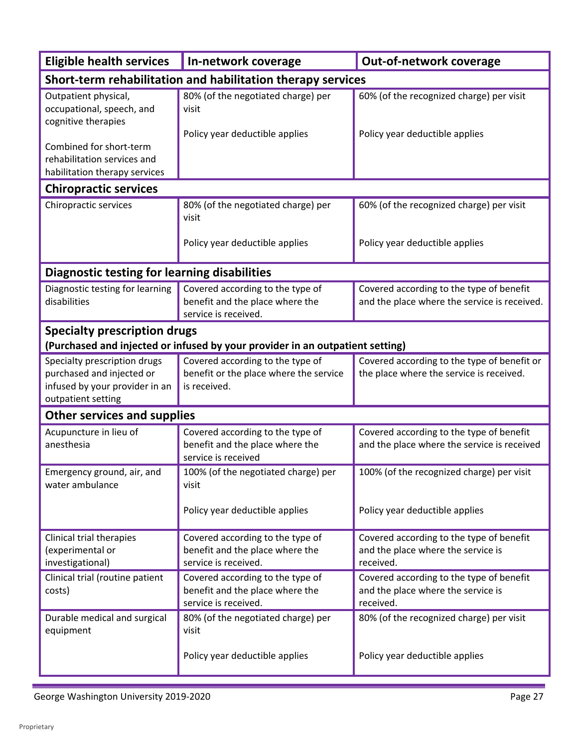| <b>Eligible health services</b>                                                                                   | In-network coverage                                                                         | Out-of-network coverage                                                                     |
|-------------------------------------------------------------------------------------------------------------------|---------------------------------------------------------------------------------------------|---------------------------------------------------------------------------------------------|
| Short-term rehabilitation and habilitation therapy services                                                       |                                                                                             |                                                                                             |
| Outpatient physical,<br>occupational, speech, and<br>cognitive therapies                                          | 80% (of the negotiated charge) per<br>visit                                                 | 60% (of the recognized charge) per visit                                                    |
| Combined for short-term<br>rehabilitation services and<br>habilitation therapy services                           | Policy year deductible applies                                                              | Policy year deductible applies                                                              |
| <b>Chiropractic services</b>                                                                                      |                                                                                             |                                                                                             |
| Chiropractic services                                                                                             | 80% (of the negotiated charge) per<br>visit                                                 | 60% (of the recognized charge) per visit                                                    |
|                                                                                                                   | Policy year deductible applies                                                              | Policy year deductible applies                                                              |
| <b>Diagnostic testing for learning disabilities</b>                                                               |                                                                                             |                                                                                             |
| Diagnostic testing for learning<br>disabilities                                                                   | Covered according to the type of<br>benefit and the place where the<br>service is received. | Covered according to the type of benefit<br>and the place where the service is received.    |
| <b>Specialty prescription drugs</b>                                                                               |                                                                                             |                                                                                             |
|                                                                                                                   | (Purchased and injected or infused by your provider in an outpatient setting)               |                                                                                             |
| Specialty prescription drugs<br>purchased and injected or<br>infused by your provider in an<br>outpatient setting | Covered according to the type of<br>benefit or the place where the service<br>is received.  | Covered according to the type of benefit or<br>the place where the service is received.     |
| <b>Other services and supplies</b>                                                                                |                                                                                             |                                                                                             |
| Acupuncture in lieu of<br>anesthesia                                                                              | Covered according to the type of<br>benefit and the place where the<br>service is received  | Covered according to the type of benefit<br>and the place where the service is received     |
| Emergency ground, air, and<br>water ambulance                                                                     | 100% (of the negotiated charge) per<br>visit                                                | 100% (of the recognized charge) per visit                                                   |
|                                                                                                                   | Policy year deductible applies                                                              | Policy year deductible applies                                                              |
| Clinical trial therapies<br>(experimental or<br>investigational)                                                  | Covered according to the type of<br>benefit and the place where the<br>service is received. | Covered according to the type of benefit<br>and the place where the service is<br>received. |
| Clinical trial (routine patient<br>costs)                                                                         | Covered according to the type of<br>benefit and the place where the<br>service is received. | Covered according to the type of benefit<br>and the place where the service is<br>received. |
| Durable medical and surgical<br>equipment                                                                         | 80% (of the negotiated charge) per<br>visit                                                 | 80% (of the recognized charge) per visit                                                    |
|                                                                                                                   | Policy year deductible applies                                                              | Policy year deductible applies                                                              |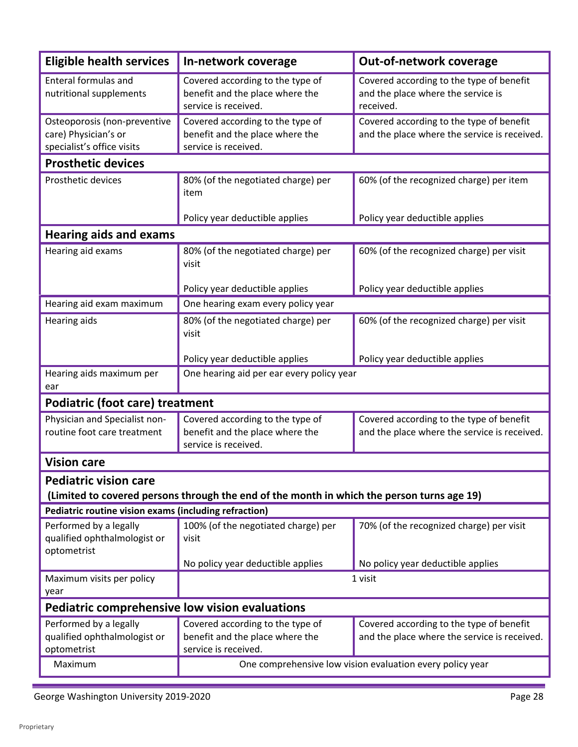| <b>Eligible health services</b>                                                                                            | In-network coverage                                                                         | Out-of-network coverage                                                                     |
|----------------------------------------------------------------------------------------------------------------------------|---------------------------------------------------------------------------------------------|---------------------------------------------------------------------------------------------|
| Enteral formulas and<br>nutritional supplements                                                                            | Covered according to the type of<br>benefit and the place where the<br>service is received. | Covered according to the type of benefit<br>and the place where the service is<br>received. |
| Osteoporosis (non-preventive<br>care) Physician's or<br>specialist's office visits                                         | Covered according to the type of<br>benefit and the place where the<br>service is received. | Covered according to the type of benefit<br>and the place where the service is received.    |
| <b>Prosthetic devices</b>                                                                                                  |                                                                                             |                                                                                             |
| <b>Prosthetic devices</b>                                                                                                  | 80% (of the negotiated charge) per<br>item                                                  | 60% (of the recognized charge) per item                                                     |
|                                                                                                                            | Policy year deductible applies                                                              | Policy year deductible applies                                                              |
| <b>Hearing aids and exams</b>                                                                                              |                                                                                             |                                                                                             |
| Hearing aid exams                                                                                                          | 80% (of the negotiated charge) per<br>visit                                                 | 60% (of the recognized charge) per visit                                                    |
|                                                                                                                            | Policy year deductible applies                                                              | Policy year deductible applies                                                              |
| Hearing aid exam maximum                                                                                                   | One hearing exam every policy year                                                          |                                                                                             |
| Hearing aids                                                                                                               | 80% (of the negotiated charge) per<br>visit                                                 | 60% (of the recognized charge) per visit                                                    |
|                                                                                                                            | Policy year deductible applies                                                              | Policy year deductible applies                                                              |
| Hearing aids maximum per<br>ear                                                                                            | One hearing aid per ear every policy year                                                   |                                                                                             |
| <b>Podiatric (foot care) treatment</b>                                                                                     |                                                                                             |                                                                                             |
| Physician and Specialist non-<br>routine foot care treatment                                                               | Covered according to the type of<br>benefit and the place where the<br>service is received. | Covered according to the type of benefit<br>and the place where the service is received.    |
| <b>Vision care</b>                                                                                                         |                                                                                             |                                                                                             |
| <b>Pediatric vision care</b><br>(Limited to covered persons through the end of the month in which the person turns age 19) |                                                                                             |                                                                                             |
| Pediatric routine vision exams (including refraction)                                                                      |                                                                                             |                                                                                             |
| Performed by a legally<br>qualified ophthalmologist or<br>optometrist                                                      | 100% (of the negotiated charge) per<br>visit                                                | 70% (of the recognized charge) per visit                                                    |
|                                                                                                                            | No policy year deductible applies                                                           | No policy year deductible applies                                                           |
| Maximum visits per policy<br>year                                                                                          | 1 visit                                                                                     |                                                                                             |
| <b>Pediatric comprehensive low vision evaluations</b>                                                                      |                                                                                             |                                                                                             |
| Performed by a legally<br>qualified ophthalmologist or<br>optometrist                                                      | Covered according to the type of<br>benefit and the place where the<br>service is received. | Covered according to the type of benefit<br>and the place where the service is received.    |
| Maximum                                                                                                                    | One comprehensive low vision evaluation every policy year                                   |                                                                                             |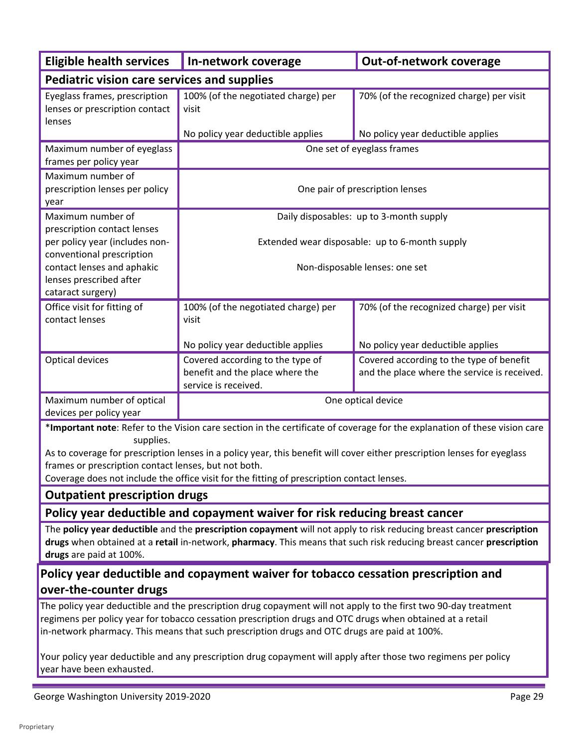| <b>Eligible health services</b>                                                                                                                                                                                                                                                                                                                                                                                                                | In-network coverage                                                                         | Out-of-network coverage                                                                                                   |
|------------------------------------------------------------------------------------------------------------------------------------------------------------------------------------------------------------------------------------------------------------------------------------------------------------------------------------------------------------------------------------------------------------------------------------------------|---------------------------------------------------------------------------------------------|---------------------------------------------------------------------------------------------------------------------------|
| <b>Pediatric vision care services and supplies</b>                                                                                                                                                                                                                                                                                                                                                                                             |                                                                                             |                                                                                                                           |
| Eyeglass frames, prescription<br>lenses or prescription contact<br>lenses                                                                                                                                                                                                                                                                                                                                                                      | 100% (of the negotiated charge) per<br>visit<br>No policy year deductible applies           | 70% (of the recognized charge) per visit<br>No policy year deductible applies                                             |
| Maximum number of eyeglass                                                                                                                                                                                                                                                                                                                                                                                                                     |                                                                                             | One set of eyeglass frames                                                                                                |
| frames per policy year                                                                                                                                                                                                                                                                                                                                                                                                                         |                                                                                             |                                                                                                                           |
| Maximum number of<br>prescription lenses per policy<br>year                                                                                                                                                                                                                                                                                                                                                                                    | One pair of prescription lenses                                                             |                                                                                                                           |
| Maximum number of                                                                                                                                                                                                                                                                                                                                                                                                                              | Daily disposables: up to 3-month supply                                                     |                                                                                                                           |
| prescription contact lenses<br>per policy year (includes non-<br>conventional prescription                                                                                                                                                                                                                                                                                                                                                     | Extended wear disposable: up to 6-month supply                                              |                                                                                                                           |
| contact lenses and aphakic<br>lenses prescribed after<br>cataract surgery)                                                                                                                                                                                                                                                                                                                                                                     | Non-disposable lenses: one set                                                              |                                                                                                                           |
| Office visit for fitting of<br>contact lenses                                                                                                                                                                                                                                                                                                                                                                                                  | 100% (of the negotiated charge) per<br>visit                                                | 70% (of the recognized charge) per visit                                                                                  |
|                                                                                                                                                                                                                                                                                                                                                                                                                                                | No policy year deductible applies                                                           | No policy year deductible applies                                                                                         |
| Optical devices                                                                                                                                                                                                                                                                                                                                                                                                                                | Covered according to the type of<br>benefit and the place where the<br>service is received. | Covered according to the type of benefit<br>and the place where the service is received.                                  |
| Maximum number of optical<br>devices per policy year                                                                                                                                                                                                                                                                                                                                                                                           | One optical device                                                                          |                                                                                                                           |
|                                                                                                                                                                                                                                                                                                                                                                                                                                                |                                                                                             | *Important note: Refer to the Vision care section in the certificate of coverage for the explanation of these vision care |
| supplies.<br>As to coverage for prescription lenses in a policy year, this benefit will cover either prescription lenses for eyeglass<br>frames or prescription contact lenses, but not both.<br>Coverage does not include the office visit for the fitting of prescription contact lenses.                                                                                                                                                    |                                                                                             |                                                                                                                           |
| <b>Outpatient prescription drugs</b>                                                                                                                                                                                                                                                                                                                                                                                                           |                                                                                             |                                                                                                                           |
|                                                                                                                                                                                                                                                                                                                                                                                                                                                | Policy year deductible and copayment waiver for risk reducing breast cancer                 |                                                                                                                           |
| The policy year deductible and the prescription copayment will not apply to risk reducing breast cancer prescription<br>drugs when obtained at a retail in-network, pharmacy. This means that such risk reducing breast cancer prescription<br>drugs are paid at 100%.                                                                                                                                                                         |                                                                                             |                                                                                                                           |
| Policy year deductible and copayment waiver for tobacco cessation prescription and<br>over-the-counter drugs                                                                                                                                                                                                                                                                                                                                   |                                                                                             |                                                                                                                           |
| The policy year deductible and the prescription drug copayment will not apply to the first two 90-day treatment<br>regimens per policy year for tobacco cessation prescription drugs and OTC drugs when obtained at a retail<br>in-network pharmacy. This means that such prescription drugs and OTC drugs are paid at 100%.<br>Your policy year deductible and any prescription drug copayment will apply after those two regimens per policy |                                                                                             |                                                                                                                           |

George Washington University 2019-2020 **Page 29** Page 29

year have been exhausted.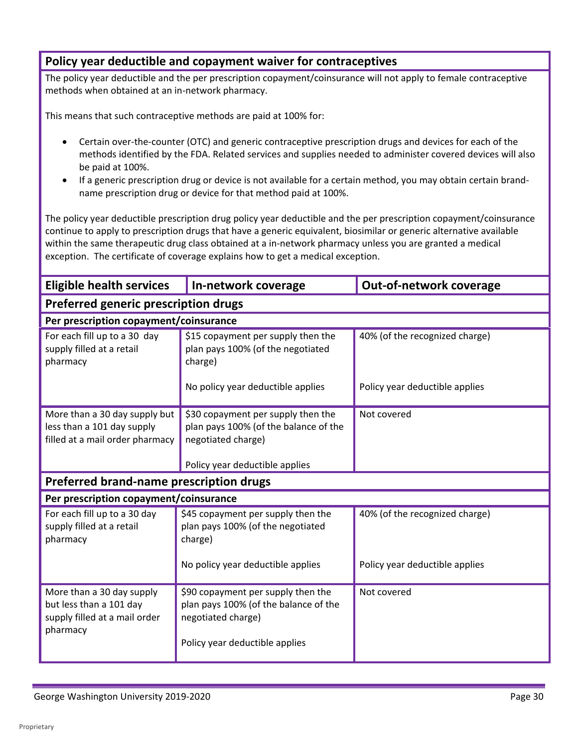# **Policy year deductible and copayment waiver for contraceptives**

The policy year deductible and the per prescription copayment/coinsurance will not apply to female contraceptive methods when obtained at an in-network pharmacy.

This means that such contraceptive methods are paid at 100% for:

- Certain over-the-counter (OTC) and generic contraceptive prescription drugs and devices for each of the methods identified by the FDA. Related services and supplies needed to administer covered devices will also be paid at 100%.
- If a generic prescription drug or device is not available for a certain method, you may obtain certain brandname prescription drug or device for that method paid at 100%.

 The policy year deductible prescription drug policy year deductible and the per prescription copayment/coinsurance continue to apply to prescription drugs that have a generic equivalent, biosimilar or generic alternative available within the same therapeutic drug class obtained at a in-network pharmacy unless you are granted a medical exception. The certificate of coverage explains how to get a medical exception.

| <b>Eligible health services</b>                                                                   | In-network coverage                                                                                                                 | <b>Out-of-network coverage</b> |
|---------------------------------------------------------------------------------------------------|-------------------------------------------------------------------------------------------------------------------------------------|--------------------------------|
| Preferred generic prescription drugs                                                              |                                                                                                                                     |                                |
| Per prescription copayment/coinsurance                                                            |                                                                                                                                     |                                |
| For each fill up to a 30 day<br>supply filled at a retail<br>pharmacy                             | \$15 copayment per supply then the<br>plan pays 100% (of the negotiated<br>charge)                                                  | 40% (of the recognized charge) |
|                                                                                                   | No policy year deductible applies                                                                                                   | Policy year deductible applies |
| More than a 30 day supply but<br>less than a 101 day supply<br>filled at a mail order pharmacy    | \$30 copayment per supply then the<br>plan pays 100% (of the balance of the<br>negotiated charge)                                   | Not covered                    |
|                                                                                                   | Policy year deductible applies                                                                                                      |                                |
| Preferred brand-name prescription drugs                                                           |                                                                                                                                     |                                |
| Per prescription copayment/coinsurance                                                            |                                                                                                                                     |                                |
| For each fill up to a 30 day<br>supply filled at a retail<br>pharmacy                             | \$45 copayment per supply then the<br>plan pays 100% (of the negotiated<br>charge)                                                  | 40% (of the recognized charge) |
|                                                                                                   | No policy year deductible applies                                                                                                   | Policy year deductible applies |
| More than a 30 day supply<br>but less than a 101 day<br>supply filled at a mail order<br>pharmacy | \$90 copayment per supply then the<br>plan pays 100% (of the balance of the<br>negotiated charge)<br>Policy year deductible applies | Not covered                    |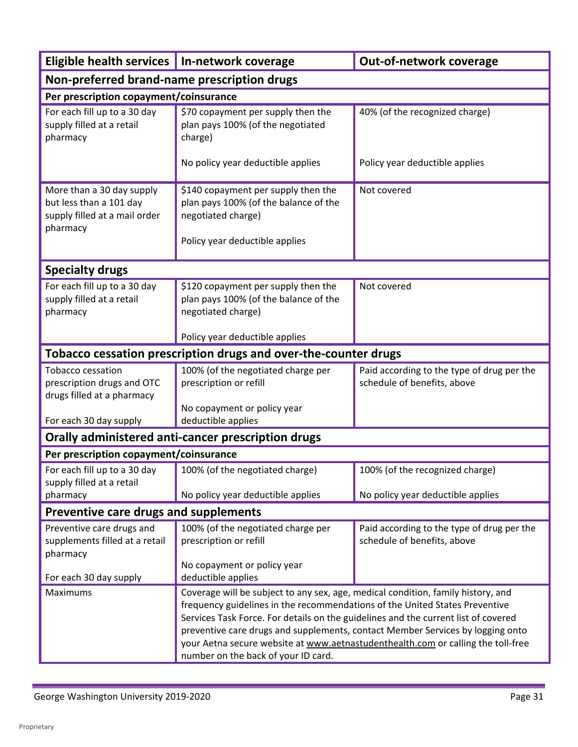| Eligible health services   In-network coverage                                                    |                                                                                                                                                                                                                                                                                                                                                                                                                                                                    | Out-of-network coverage                                                   |
|---------------------------------------------------------------------------------------------------|--------------------------------------------------------------------------------------------------------------------------------------------------------------------------------------------------------------------------------------------------------------------------------------------------------------------------------------------------------------------------------------------------------------------------------------------------------------------|---------------------------------------------------------------------------|
| Non-preferred brand-name prescription drugs                                                       |                                                                                                                                                                                                                                                                                                                                                                                                                                                                    |                                                                           |
| Per prescription copayment/coinsurance                                                            |                                                                                                                                                                                                                                                                                                                                                                                                                                                                    |                                                                           |
| For each fill up to a 30 day<br>supply filled at a retail<br>pharmacy                             | \$70 copayment per supply then the<br>plan pays 100% (of the negotiated<br>charge)                                                                                                                                                                                                                                                                                                                                                                                 | 40% (of the recognized charge)                                            |
|                                                                                                   | No policy year deductible applies                                                                                                                                                                                                                                                                                                                                                                                                                                  | Policy year deductible applies                                            |
| More than a 30 day supply<br>but less than a 101 day<br>supply filled at a mail order<br>pharmacy | \$140 copayment per supply then the<br>plan pays 100% (of the balance of the<br>negotiated charge)<br>Policy year deductible applies                                                                                                                                                                                                                                                                                                                               | Not covered                                                               |
|                                                                                                   |                                                                                                                                                                                                                                                                                                                                                                                                                                                                    |                                                                           |
| <b>Specialty drugs</b>                                                                            |                                                                                                                                                                                                                                                                                                                                                                                                                                                                    |                                                                           |
| For each fill up to a 30 day<br>supply filled at a retail<br>pharmacy                             | \$120 copayment per supply then the<br>plan pays 100% (of the balance of the<br>negotiated charge)<br>Policy year deductible applies                                                                                                                                                                                                                                                                                                                               | Not covered                                                               |
|                                                                                                   | Tobacco cessation prescription drugs and over-the-counter drugs                                                                                                                                                                                                                                                                                                                                                                                                    |                                                                           |
| <b>Tobacco cessation</b><br>prescription drugs and OTC<br>drugs filled at a pharmacy              | 100% (of the negotiated charge per<br>prescription or refill<br>No copayment or policy year                                                                                                                                                                                                                                                                                                                                                                        | Paid according to the type of drug per the<br>schedule of benefits, above |
| For each 30 day supply                                                                            | deductible applies                                                                                                                                                                                                                                                                                                                                                                                                                                                 |                                                                           |
|                                                                                                   | Orally administered anti-cancer prescription drugs                                                                                                                                                                                                                                                                                                                                                                                                                 |                                                                           |
| Per prescription copayment/coinsurance                                                            |                                                                                                                                                                                                                                                                                                                                                                                                                                                                    |                                                                           |
| For each fill up to a 30 day<br>supply filled at a retail                                         | 100% (of the negotiated charge)                                                                                                                                                                                                                                                                                                                                                                                                                                    | 100% (of the recognized charge)                                           |
| pharmacy                                                                                          | No policy year deductible applies                                                                                                                                                                                                                                                                                                                                                                                                                                  | No policy year deductible applies                                         |
| Preventive care drugs and supplements                                                             |                                                                                                                                                                                                                                                                                                                                                                                                                                                                    |                                                                           |
| Preventive care drugs and<br>supplements filled at a retail<br>pharmacy                           | 100% (of the negotiated charge per<br>prescription or refill<br>No copayment or policy year                                                                                                                                                                                                                                                                                                                                                                        | Paid according to the type of drug per the<br>schedule of benefits, above |
| For each 30 day supply                                                                            | deductible applies                                                                                                                                                                                                                                                                                                                                                                                                                                                 |                                                                           |
| Maximums                                                                                          | Coverage will be subject to any sex, age, medical condition, family history, and<br>frequency guidelines in the recommendations of the United States Preventive<br>Services Task Force. For details on the guidelines and the current list of covered<br>preventive care drugs and supplements, contact Member Services by logging onto<br>your Aetna secure website at www.aetnastudenthealth.com or calling the toll-free<br>number on the back of your ID card. |                                                                           |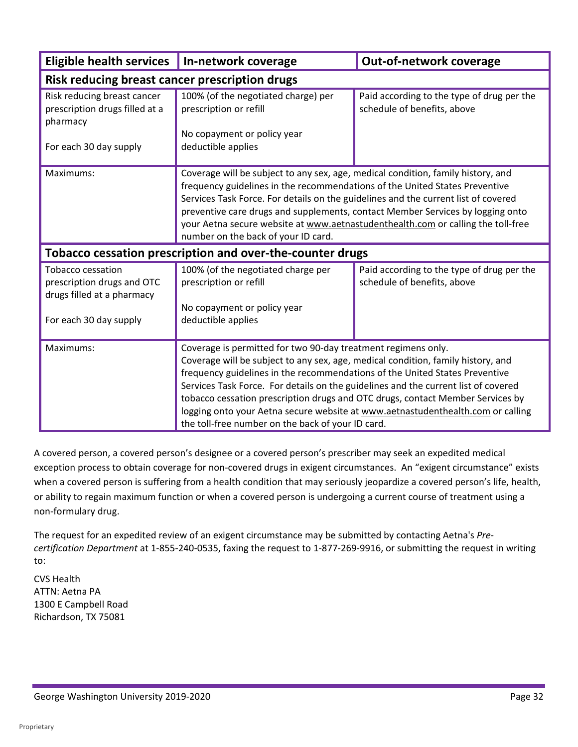| <b>Eligible health services</b>                                                      | In-network coverage                                                                                                                                                                                                                                                                                                                                                                                                                                                                                                                              | <b>Out-of-network coverage</b>                                            |
|--------------------------------------------------------------------------------------|--------------------------------------------------------------------------------------------------------------------------------------------------------------------------------------------------------------------------------------------------------------------------------------------------------------------------------------------------------------------------------------------------------------------------------------------------------------------------------------------------------------------------------------------------|---------------------------------------------------------------------------|
| Risk reducing breast cancer prescription drugs                                       |                                                                                                                                                                                                                                                                                                                                                                                                                                                                                                                                                  |                                                                           |
| Risk reducing breast cancer<br>prescription drugs filled at a<br>pharmacy            | 100% (of the negotiated charge) per<br>prescription or refill<br>No copayment or policy year                                                                                                                                                                                                                                                                                                                                                                                                                                                     | Paid according to the type of drug per the<br>schedule of benefits, above |
| For each 30 day supply                                                               | deductible applies                                                                                                                                                                                                                                                                                                                                                                                                                                                                                                                               |                                                                           |
| Maximums:                                                                            | Coverage will be subject to any sex, age, medical condition, family history, and<br>frequency guidelines in the recommendations of the United States Preventive<br>Services Task Force. For details on the guidelines and the current list of covered<br>preventive care drugs and supplements, contact Member Services by logging onto<br>your Aetna secure website at www.aetnastudenthealth.com or calling the toll-free<br>number on the back of your ID card.                                                                               |                                                                           |
| Tobacco cessation prescription and over-the-counter drugs                            |                                                                                                                                                                                                                                                                                                                                                                                                                                                                                                                                                  |                                                                           |
| <b>Tobacco cessation</b><br>prescription drugs and OTC<br>drugs filled at a pharmacy | 100% (of the negotiated charge per<br>prescription or refill                                                                                                                                                                                                                                                                                                                                                                                                                                                                                     | Paid according to the type of drug per the<br>schedule of benefits, above |
| For each 30 day supply                                                               | No copayment or policy year<br>deductible applies                                                                                                                                                                                                                                                                                                                                                                                                                                                                                                |                                                                           |
| Maximums:                                                                            | Coverage is permitted for two 90-day treatment regimens only.<br>Coverage will be subject to any sex, age, medical condition, family history, and<br>frequency guidelines in the recommendations of the United States Preventive<br>Services Task Force. For details on the guidelines and the current list of covered<br>tobacco cessation prescription drugs and OTC drugs, contact Member Services by<br>logging onto your Aetna secure website at www.aetnastudenthealth.com or calling<br>the toll-free number on the back of your ID card. |                                                                           |

 or ability to regain maximum function or when a covered person is undergoing a current course of treatment using a A covered person, a covered person's designee or a covered person's prescriber may seek an expedited medical exception process to obtain coverage for non-covered drugs in exigent circumstances. An "exigent circumstance" exists when a covered person is suffering from a health condition that may seriously jeopardize a covered person's life, health, non-formulary drug.

The request for an expedited review of an exigent circumstance may be submitted by contacting Aetna's *Precertification Department* at 1-855*-*240-0535, faxing the request to 1-877-269-9916, or submitting the request in writing to:

 ATTN: Aetna PA CVS Health 1300 E Campbell Road Richardson, TX 75081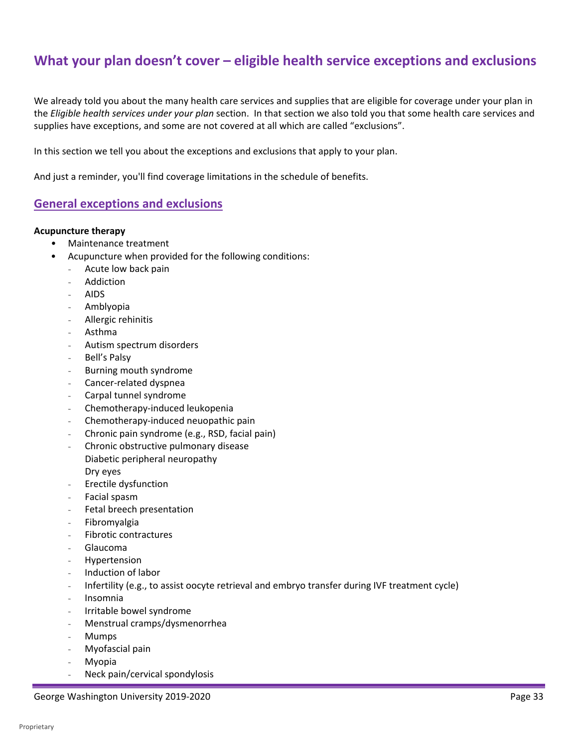# **What your plan doesn't cover – eligible health service exceptions and exclusions**

 We already told you about the many health care services and supplies that are eligible for coverage under your plan in the *Eligible health services under your plan* section. In that section we also told you that some health care services and supplies have exceptions, and some are not covered at all which are called "exclusions".

supplies have exceptions, and some are not covered at all which are called "exclusions".<br>In this section we tell you about the exceptions and exclusions that apply to your plan.

And just a reminder, you'll find coverage limitations in the schedule of benefits.

### **General exceptions and exclusions**

#### **Acupuncture therapy**

- Maintenance treatment
- Acupuncture when provided for the following conditions:
	- Acute low back pain
	- **Addiction**
	- AIDS
	- Amblyopia
	- Allergic rehinitis
	- Asthma
	- Autism spectrum disorders
	- Bell's Palsy
	- Burning mouth syndrome
	- Cancer-related dyspnea
	- Carpal tunnel syndrome
	- Chemotherapy-induced leukopenia
	- Chemotherapy-induced neuopathic pain
	- Chronic pain syndrome (e.g., RSD, facial pain)
	- Chronic obstructive pulmonary disease Diabetic peripheral neuropathy Dry eyes
	- Erectile dysfunction
	- Facial spasm
	- Fetal breech presentation
	- **Fibromyalgia**
	- Fibrotic contractures
	- Glaucoma
	- **Hypertension**
	- Induction of labor
	- Infertility (e.g., to assist oocyte retrieval and embryo transfer during IVF treatment cycle)
	- Insomnia
	- Irritable bowel syndrome
	- Menstrual cramps/dysmenorrhea
	- **Mumps**
	- Myofascial pain
	- **Myopia**
	- Neck pain/cervical spondylosis

George Washington University 2019-2020 **Page 33**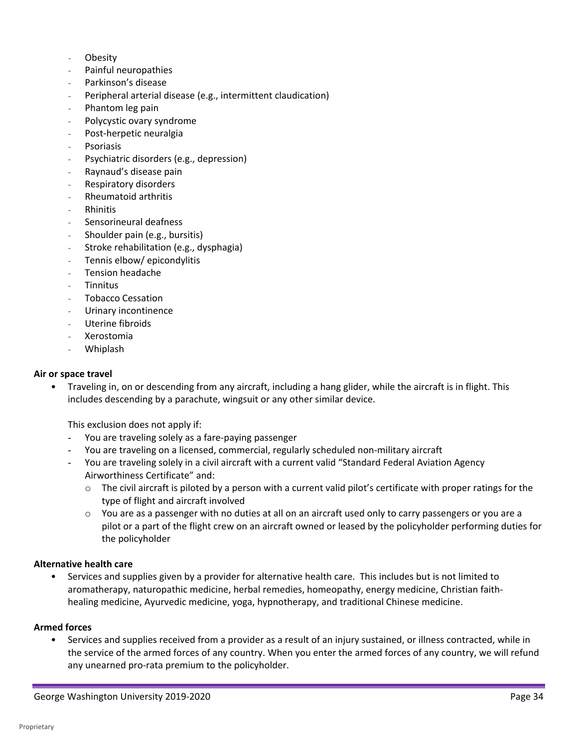- **Obesity**
- Painful neuropathies
- Parkinson's disease
- Peripheral arterial disease (e.g., intermittent claudication)
- Phantom leg pain
- Polycystic ovary syndrome
- Post-herpetic neuralgia
- **Psoriasis**
- Psychiatric disorders (e.g., depression)
- Raynaud's disease pain
- Respiratory disorders
- Rheumatoid arthritis
- Rhinitis
- Sensorineural deafness
- Shoulder pain (e.g., bursitis)
- Stroke rehabilitation (e.g., dysphagia)
- Tennis elbow/ epicondylitis
- Tension headache
- **Tinnitus**
- Tobacco Cessation
- Urinary incontinence
- Uterine fibroids
- Xerostomia
- Whiplash

#### **Air or space travel**

• Traveling in, on or descending from any aircraft, including a hang glider, while the aircraft is in flight. This includes descending by a parachute, wingsuit or any other similar device.

This exclusion does not apply if:

- You are traveling solely as a fare-paying passenger
- You are traveling on a licensed, commercial, regularly scheduled non-military aircraft
- Airworthiness Certificate" and: - You are traveling solely in a civil aircraft with a current valid "Standard Federal Aviation Agency
	- $\circ$  The civil aircraft is piloted by a person with a current valid pilot's certificate with proper ratings for the type of flight and aircraft involved
	- o You are as a passenger with no duties at all on an aircraft used only to carry passengers or you are a pilot or a part of the flight crew on an aircraft owned or leased by the policyholder performing duties for the policyholder

#### **Alternative health care**

 • Services and supplies given by a provider for alternative health care. This includes but is not limited to aromatherapy, naturopathic medicine, herbal remedies, homeopathy, energy medicine, Christian faithhealing medicine, Ayurvedic medicine, yoga, hypnotherapy, and traditional Chinese medicine.

#### **Armed forces**

 any unearned pro-rata premium to the policyholder. • Services and supplies received from a provider as a result of an injury sustained, or illness contracted, while in the service of the armed forces of any country. When you enter the armed forces of any country, we will refund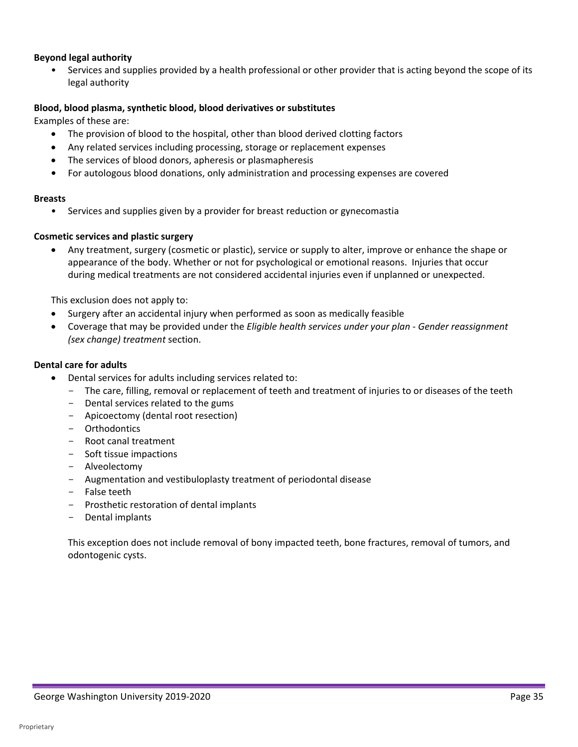#### **Beyond legal authority**

 • Services and supplies provided by a health professional or other provider that is acting beyond the scope of its legal authority

#### **Blood, blood plasma, synthetic blood, blood derivatives or substitutes**

Examples of these are:

- The provision of blood to the hospital, other than blood derived clotting factors
- Any related services including processing, storage or replacement expenses
- The services of blood donors, apheresis or plasmapheresis
- **•** For autologous blood donations, only administration and processing expenses are covered

#### **Breasts**

• Services and supplies given by a provider for breast reduction or gynecomastia

#### **Cosmetic services and plastic surgery**

• Any treatment, surgery (cosmetic or plastic), service or supply to alter, improve or enhance the shape or appearance of the body. Whether or not for psychological or emotional reasons. Injuries that occur during medical treatments are not considered accidental injuries even if unplanned or unexpected.

This exclusion does not apply to:

- Surgery after an accidental injury when performed as soon as medically feasible
- Coverage that may be provided under the *Eligible health services under your plan - Gender reassignment (sex change) treatment* section.

#### **Dental care for adults**

- Dental services for adults including services related to:
	- The care, filling, removal or replacement of teeth and treatment of injuries to or diseases of the teeth
	- Dental services related to the gums
	- Apicoectomy (dental root resection)
	- Orthodontics
	- Root canal treatment
	- Soft tissue impactions
	- Alveolectomy
	- Augmentation and vestibuloplasty treatment of periodontal disease
	- False teeth
	- Prosthetic restoration of dental implants
	- Dental implants

This exception does not include removal of bony impacted teeth, bone fractures, removal of tumors, and odontogenic cysts.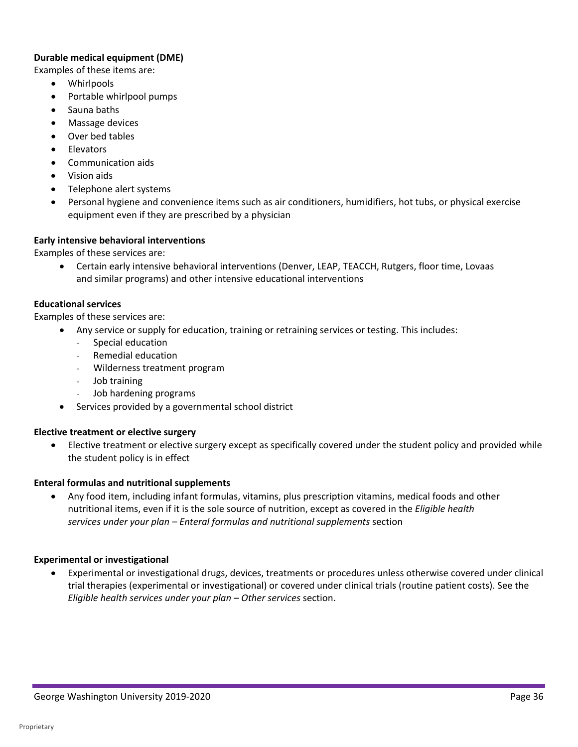#### **Durable medical equipment (DME)**

Examples of these items are:

- Whirlpools
- Portable whirlpool pumps
- Sauna baths
- Massage devices
- Over bed tables
- Elevators
- Communication aids
- Vision aids
- Telephone alert systems
- Personal hygiene and convenience items such as air conditioners, humidifiers, hot tubs, or physical exercise equipment even if they are prescribed by a physician

#### **Early intensive behavioral interventions**

Examples of these services are:

• Certain early intensive behavioral interventions (Denver, LEAP, TEACCH, Rutgers, floor time, Lovaas and similar programs) and other intensive educational interventions

#### **Educational services**

Examples of these services are:

- Any service or supply for education, training or retraining services or testing. This includes:
	- Special education
	- Remedial education
	- Wilderness treatment program
	- Job training
	- Job hardening programs
- Services provided by a governmental school district

#### **Elective treatment or elective surgery**

 • Elective treatment or elective surgery except as specifically covered under the student policy and provided while the student policy is in effect

#### **Enteral formulas and nutritional supplements**

 *services under your plan – Enteral formulas and nutritional supplements* section • Any food item, including infant formulas, vitamins, plus prescription vitamins, medical foods and other nutritional items, even if it is the sole source of nutrition, except as covered in the *Eligible health* 

#### **Experimental or investigational**

 trial therapies (experimental or investigational) or covered under clinical trials (routine patient costs). See the  *Eligible health services under your plan – Other services* section. • Experimental or investigational drugs, devices, treatments or procedures unless otherwise covered under clinical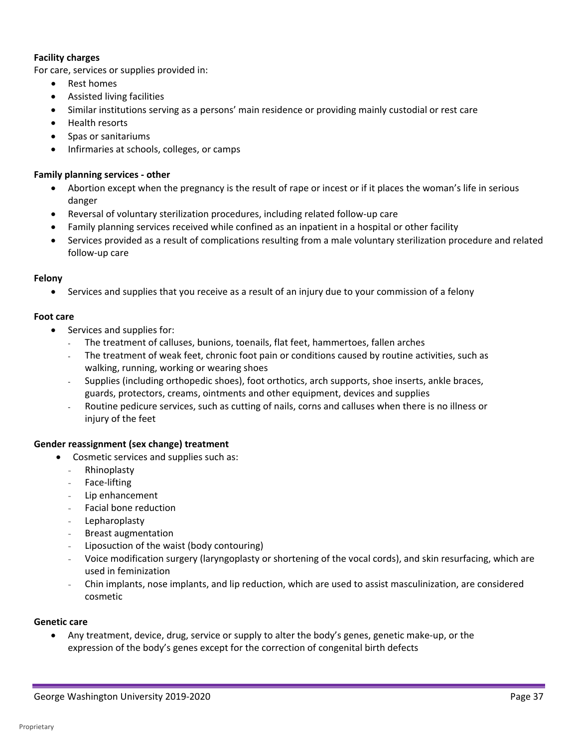#### **Facility charges**

For care, services or supplies provided in:

- Rest homes
- Assisted living facilities
- Similar institutions serving as a persons' main residence or providing mainly custodial or rest care
- Health resorts
- Spas or sanitariums
- Infirmaries at schools, colleges, or camps

#### **Family planning services - other**

- • Abortion except when the pregnancy is the result of rape or incest or if it places the woman's life in serious danger
- Reversal of voluntary sterilization procedures, including related follow-up care
- Family planning services received while confined as an inpatient in a hospital or other facility
- • Services provided as a result of complications resulting from a male voluntary sterilization procedure and related follow-up care

#### **Felony**

• Services and supplies that you receive as a result of an injury due to your commission of a felony

#### **Foot care**

- Services and supplies for:
	- The treatment of calluses, bunions, toenails, flat feet, hammertoes, fallen arches
	- The treatment of weak feet, chronic foot pain or conditions caused by routine activities, such as walking, running, working or wearing shoes
	- Supplies (including orthopedic shoes), foot orthotics, arch supports, shoe inserts, ankle braces, guards, protectors, creams, ointments and other equipment, devices and supplies
	- - Routine pedicure services, such as cutting of nails, corns and calluses when there is no illness or injury of the feet

#### **Gender reassignment (sex change) treatment**

- Cosmetic services and supplies such as:
	- Rhinoplasty
	- Face-lifting
	- Lip enhancement
	- Facial bone reduction
	- Lepharoplasty
	- Breast augmentation
	- Liposuction of the waist (body contouring)
	- Voice modification surgery (laryngoplasty or shortening of the vocal cords), and skin resurfacing, which are used in feminization
	- Chin implants, nose implants, and lip reduction, which are used to assist masculinization, are considered cosmetic

#### **Genetic care**

• Any treatment, device, drug, service or supply to alter the body's genes, genetic make-up, or the expression of the body's genes except for the correction of congenital birth defects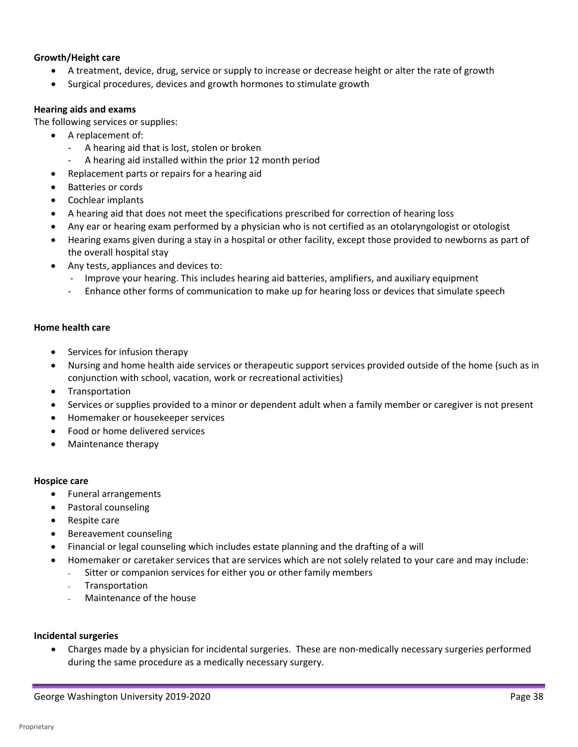#### **Growth/Height care**

- A treatment, device, drug, service or supply to increase or decrease height or alter the rate of growth
- Surgical procedures, devices and growth hormones to stimulate growth

#### **Hearing aids and exams**

The following services or supplies:

- A replacement of:
	- A hearing aid that is lost, stolen or broken
	- A hearing aid installed within the prior 12 month period
- Replacement parts or repairs for a hearing aid
- Batteries or cords
- Cochlear implants
- A hearing aid that does not meet the specifications prescribed for correction of hearing loss
- Any ear or hearing exam performed by a physician who is not certified as an otolaryngologist or otologist
- Hearing exams given during a stay in a hospital or other facility, except those provided to newborns as part of the overall hospital stay
- Any tests, appliances and devices to:
	- Improve your hearing. This includes hearing aid batteries, amplifiers, and auxiliary equipment
	- Enhance other forms of communication to make up for hearing loss or devices that simulate speech

#### **Home health care**

- Services for infusion therapy
- Nursing and home health aide services or therapeutic support services provided outside of the home (such as in conjunction with school, vacation, work or recreational activities)
- **Transportation**
- Services or supplies provided to a minor or dependent adult when a family member or caregiver is not present
- Homemaker or housekeeper services
- Food or home delivered services
- Maintenance therapy

#### **Hospice care**

- Funeral arrangements
- Pastoral counseling
- Respite care
- Bereavement counseling
- Financial or legal counseling which includes estate planning and the drafting of a will
- • Homemaker or caretaker services that are services which are not solely related to your care and may include:
	- Sitter or companion services for either you or other family members
	- **Transportation**
	- Maintenance of the house

#### **Incidental surgeries**

during the same procedure as a medically necessary surgery.<br>
George Washington University 2019-2020<br>
Page 38 • Charges made by a physician for incidental surgeries. These are non-medically necessary surgeries performed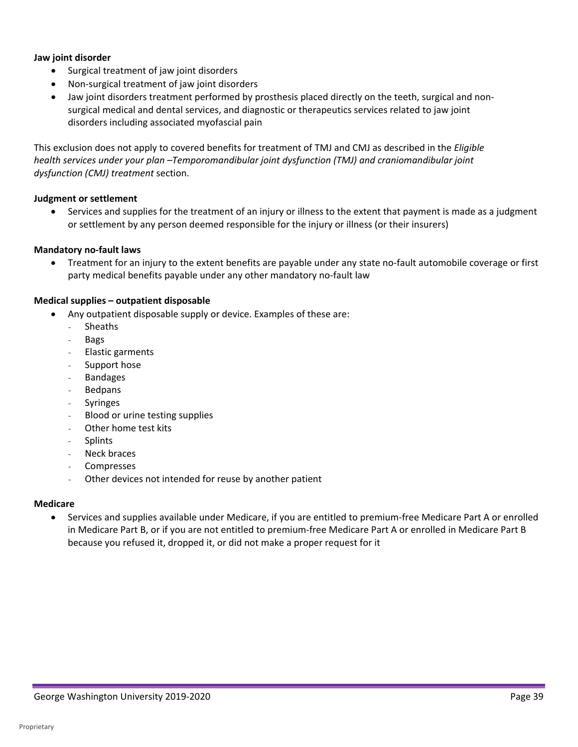#### **Jaw joint disorder**

- Surgical treatment of jaw joint disorders
- Non-surgical treatment of jaw joint disorders
- Jaw joint disorders treatment performed by prosthesis placed directly on the teeth, surgical and nonsurgical medical and dental services, and diagnostic or therapeutics services related to jaw joint disorders including associated myofascial pain

This exclusion does not apply to covered benefits for treatment of TMJ and CMJ as described in the *Eligible health services under your plan –Temporomandibular joint dysfunction (TMJ) and craniomandibular joint dysfunction (CMJ) treatment* section.

#### **Judgment or settlement**

 • Services and supplies for the treatment of an injury or illness to the extent that payment is made as a judgment or settlement by any person deemed responsible for the injury or illness (or their insurers)

#### **Mandatory no-fault laws**

 • Treatment for an injury to the extent benefits are payable under any state no-fault automobile coverage or first party medical benefits payable under any other mandatory no-fault law

#### **Medical supplies – outpatient disposable**

- Any outpatient disposable supply or device. Examples of these are:
	- **Sheaths**
	- Bags
	- Elastic garments
	- Support hose
	- **Bandages**
	- **Bedpans**
	- **Syringes**
	- Blood or urine testing supplies
	- Other home test kits
	- **Splints**
	- Neck braces
	- **Compresses**
	- Other devices not intended for reuse by another patient

#### **Medicare**

• Services and supplies available under Medicare, if you are entitled to premium-free Medicare Part A or enrolled in Medicare Part B, or if you are not entitled to premium-free Medicare Part A or enrolled in Medicare Part B because you refused it, dropped it, or did not make a proper request for it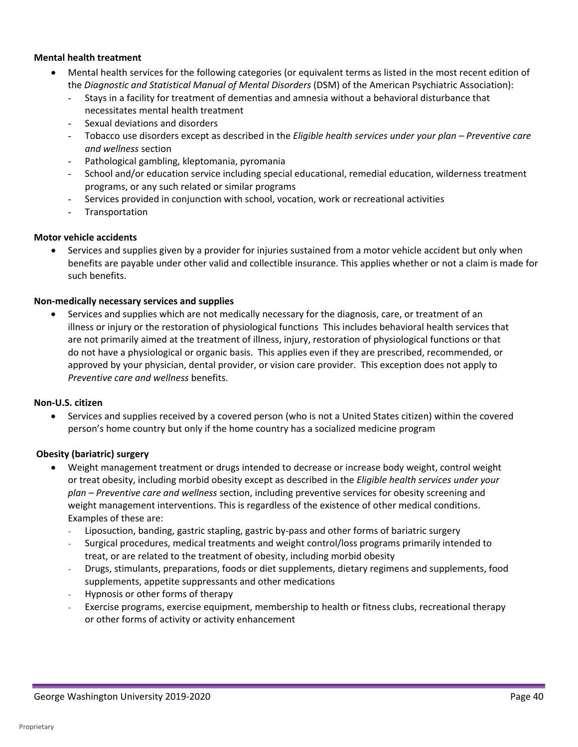#### **Mental health treatment**

- Mental health services for the following categories (or equivalent terms as listed in the most recent edition of the *Diagnostic and Statistical Manual of Mental Disorders* (DSM) of the American Psychiatric Association):
	- Stays in a facility for treatment of dementias and amnesia without a behavioral disturbance that necessitates mental health treatment
	- Sexual deviations and disorders
	- - Tobacco use disorders except as described in the *Eligible health services under your plan Preventive care and wellness* section
	- Pathological gambling, kleptomania, pyromania
	- School and/or education service including special educational, remedial education, wilderness treatment programs, or any such related or similar programs
	- Services provided in conjunction with school, vocation, work or recreational activities
	- **Transportation**

#### **Motor vehicle accidents**

• Services and supplies given by a provider for injuries sustained from a motor vehicle accident but only when benefits are payable under other valid and collectible insurance. This applies whether or not a claim is made for such benefits.

#### **Non-medically necessary services and supplies**

 are not primarily aimed at the treatment of illness, injury, restoration of physiological functions or that do not have a physiological or organic basis. This applies even if they are prescribed, recommended, or approved by your physician, dental provider, or vision care provider. This exception does not apply to • Services and supplies which are not medically necessary for the diagnosis, care, or treatment of an illness or injury or the restoration of physiological functions This includes behavioral health services that *Preventive care and wellness* benefits.

#### **Non-U.S. citizen**

 • Services and supplies received by a covered person (who is not a United States citizen) within the covered person's home country but only if the home country has a socialized medicine program

#### **Obesity (bariatric) surgery**

- • Weight management treatment or drugs intended to decrease or increase body weight, control weight  or treat obesity, including morbid obesity except as described in the *Eligible health services under your plan – Preventive care and wellness* section, including preventive services for obesity screening and weight management interventions. This is regardless of the existence of other medical conditions. Examples of these are:
	- Liposuction, banding, gastric stapling, gastric by-pass and other forms of bariatric surgery
	- treat, or are related to the treatment of obesity, including morbid obesity - Surgical procedures, medical treatments and weight control/loss programs primarily intended to
	- Drugs, stimulants, preparations, foods or diet supplements, dietary regimens and supplements, food supplements, appetite suppressants and other medications
	- Hypnosis or other forms of therapy
	- Exercise programs, exercise equipment, membership to health or fitness clubs, recreational therapy or other forms of activity or activity enhancement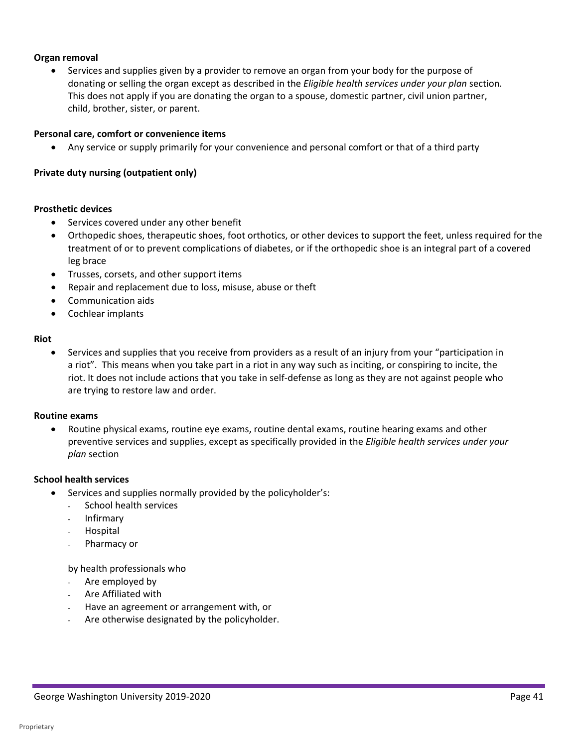#### **Organ removal**

 • Services and supplies given by a provider to remove an organ from your body for the purpose of  donating or selling the organ except as described in the *Eligible health services under your plan* section*.* This does not apply if you are donating the organ to a spouse, domestic partner, civil union partner, child, brother, sister, or parent.

#### **Personal care, comfort or convenience items**

• Any service or supply primarily for your convenience and personal comfort or that of a third party

#### **Private duty nursing (outpatient only)**

#### **Prosthetic devices**

- Services covered under any other benefit
- Orthopedic shoes, therapeutic shoes, foot orthotics, or other devices to support the feet, unless required for the treatment of or to prevent complications of diabetes, or if the orthopedic shoe is an integral part of a covered leg brace
- Trusses, corsets, and other support items
- Repair and replacement due to loss, misuse, abuse or theft
- Communication aids
- Cochlear implants

#### **Riot**

 • Services and supplies that you receive from providers as a result of an injury from your "participation in riot. It does not include actions that you take in self-defense as long as they are not against people who a riot". This means when you take part in a riot in any way such as inciting, or conspiring to incite, the are trying to restore law and order.

#### **Routine exams**

• Routine physical exams, routine eye exams, routine dental exams, routine hearing exams and other preventive services and supplies, except as specifically provided in the *Eligible health services under your plan* section

#### **School health services**

- Services and supplies normally provided by the policyholder's:
	- School health services
	- Infirmary
	- **Hospital**
	- Pharmacy or

by health professionals who

- Are employed by
- Are Affiliated with
- Have an agreement or arrangement with, or
- Are otherwise designated by the policyholder.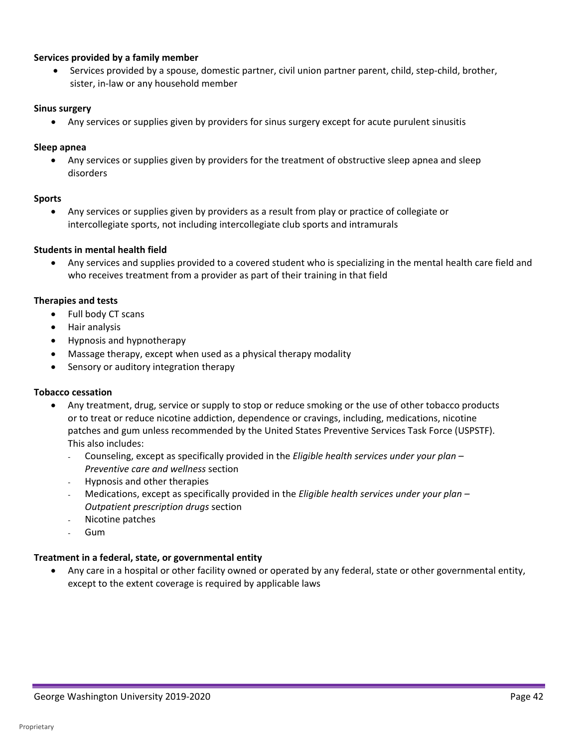#### **Services provided by a family member**

• Services provided by a spouse, domestic partner, civil union partner parent, child, step-child, brother, sister, in-law or any household member

#### **Sinus surgery**

• Any services or supplies given by providers for sinus surgery except for acute purulent sinusitis

#### **Sleep apnea**

• Any services or supplies given by providers for the treatment of obstructive sleep apnea and sleep disorders

#### **Sports**

• Any services or supplies given by providers as a result from play or practice of collegiate or intercollegiate sports, not including intercollegiate club sports and intramurals

#### **Students in mental health field**

• Any services and supplies provided to a covered student who is specializing in the mental health care field and who receives treatment from a provider as part of their training in that field

#### **Therapies and tests**

- Full body CT scans
- Hair analysis
- Hypnosis and hypnotherapy
- Massage therapy, except when used as a physical therapy modality
- Sensory or auditory integration therapy

#### **Tobacco cessation**

- Any treatment, drug, service or supply to stop or reduce smoking or the use of other tobacco products or to treat or reduce nicotine addiction, dependence or cravings, including, medications, nicotine patches and gum unless recommended by the United States Preventive Services Task Force (USPSTF). This also includes:
	- Counseling, except as specifically provided in the *Eligible health services under your plan Preventive care and wellness* section
	- Hypnosis and other therapies
	- Medications, except as specifically provided in the *Eligible health services under your plan Outpatient prescription drugs* section
	- Nicotine patches
	- Gum

#### **Treatment in a federal, state, or governmental entity**

• Any care in a hospital or other facility owned or operated by any federal, state or other governmental entity, except to the extent coverage is required by applicable laws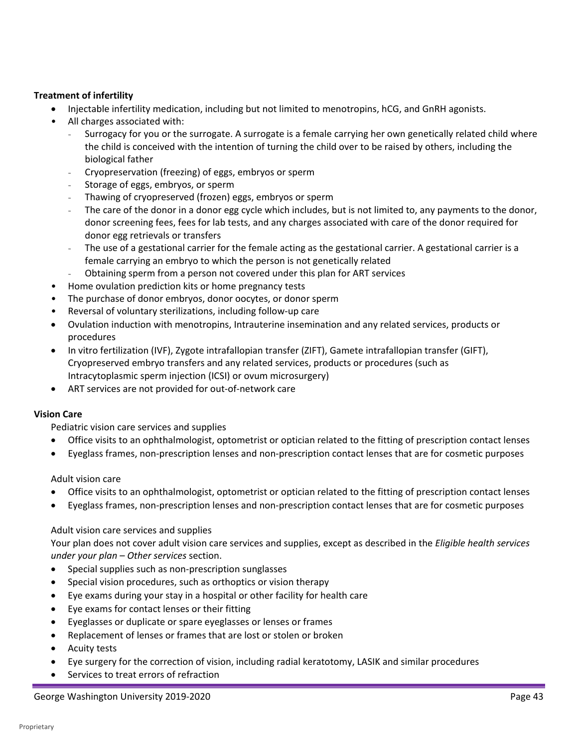#### **Treatment of infertility**

- Injectable infertility medication, including but not limited to menotropins, hCG, and GnRH agonists.
- All charges associated with:
	- the child is conceived with the intention of turning the child over to be raised by others, including the Surrogacy for you or the surrogate. A surrogate is a female carrying her own genetically related child where biological father
	- Cryopreservation (freezing) of eggs, embryos or sperm
	- Storage of eggs, embryos, or sperm
	- Thawing of cryopreserved (frozen) eggs, embryos or sperm
	- donor screening fees, fees for lab tests, and any charges associated with care of the donor required for The care of the donor in a donor egg cycle which includes, but is not limited to, any payments to the donor, donor egg retrievals or transfers
	- The use of a gestational carrier for the female acting as the gestational carrier. A gestational carrier is a female carrying an embryo to which the person is not genetically related
	- Obtaining sperm from a person not covered under this plan for ART services
- Home ovulation prediction kits or home pregnancy tests
- The purchase of donor embryos, donor oocytes, or donor sperm
- Reversal of voluntary sterilizations, including follow-up care
- • Ovulation induction with menotropins, Intrauterine insemination and any related services, products or procedures
- In vitro fertilization (IVF), Zygote intrafallopian transfer (ZIFT), Gamete intrafallopian transfer (GIFT), Cryopreserved embryo transfers and any related services, products or procedures (such as Intracytoplasmic sperm injection (ICSI) or ovum microsurgery)
- ART services are not provided for out-of-network care

#### **Vision Care**

Pediatric vision care services and supplies

- Office visits to an ophthalmologist, optometrist or optician related to the fitting of prescription contact lenses
- Eyeglass frames, non-prescription lenses and non-prescription contact lenses that are for cosmetic purposes

#### Adult vision care

- Office visits to an ophthalmologist, optometrist or optician related to the fitting of prescription contact lenses
- Eyeglass frames, non-prescription lenses and non-prescription contact lenses that are for cosmetic purposes

#### Adult vision care services and supplies

 Your plan does not cover adult vision care services and supplies, except as described in the *Eligible health services under your plan – Other services* section.

- Special supplies such as non-prescription sunglasses
- Special vision procedures, such as orthoptics or vision therapy
- Eye exams during your stay in a hospital or other facility for health care
- Eye exams for contact lenses or their fitting
- Eyeglasses or duplicate or spare eyeglasses or lenses or frames
- Replacement of lenses or frames that are lost or stolen or broken
- Acuity tests
- Eye surgery for the correction of vision, including radial keratotomy, LASIK and similar procedures
- Services to treat errors of refraction

#### George Washington University 2019-2020 **Page 43**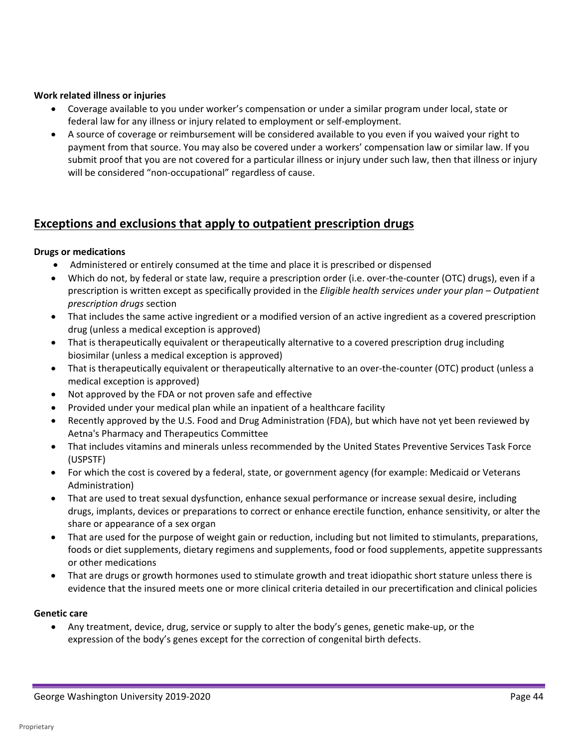#### **Work related illness or injuries**

- Coverage available to you under worker's compensation or under a similar program under local, state or federal law for any illness or injury related to employment or self-employment.
- • A source of coverage or reimbursement will be considered available to you even if you waived your right to payment from that source. You may also be covered under a workers' compensation law or similar law. If you submit proof that you are not covered for a particular illness or injury under such law, then that illness or injury will be considered "non-occupational" regardless of cause.

# **Exceptions and exclusions that apply to outpatient prescription drugs**

#### **Drugs or medications**

- Administered or entirely consumed at the time and place it is prescribed or dispensed
- • Which do not, by federal or state law, require a prescription order (i.e. over-the-counter (OTC) drugs), even if a  prescription is written except as specifically provided in the *Eligible health services under your plan – Outpatient prescription drugs* section
- That includes the same active ingredient or a modified version of an active ingredient as a covered prescription drug (unless a medical exception is approved)
- • That is therapeutically equivalent or therapeutically alternative to a covered prescription drug including biosimilar (unless a medical exception is approved)
- • That is therapeutically equivalent or therapeutically alternative to an over-the-counter (OTC) product (unless a medical exception is approved)
- Not approved by the FDA or not proven safe and effective
- Provided under your medical plan while an inpatient of a healthcare facility
- Recently approved by the U.S. Food and Drug Administration (FDA), but which have not yet been reviewed by Aetna's Pharmacy and Therapeutics Committee
- • That includes vitamins and minerals unless recommended by the United States Preventive Services Task Force (USPSTF)
- For which the cost is covered by a federal, state, or government agency (for example: Medicaid or Veterans Administration)
- That are used to treat sexual dysfunction, enhance sexual performance or increase sexual desire, including drugs, implants, devices or preparations to correct or enhance erectile function, enhance sensitivity, or alter the share or appearance of a sex organ
- That are used for the purpose of weight gain or reduction, including but not limited to stimulants, preparations, foods or diet supplements, dietary regimens and supplements, food or food supplements, appetite suppressants or other medications
- evidence that the insured meets one or more clinical criteria detailed in our precertification and clinical policies • That are drugs or growth hormones used to stimulate growth and treat idiopathic short stature unless there is

#### **Genetic care**

• Any treatment, device, drug, service or supply to alter the body's genes, genetic make-up, or the expression of the body's genes except for the correction of congenital birth defects.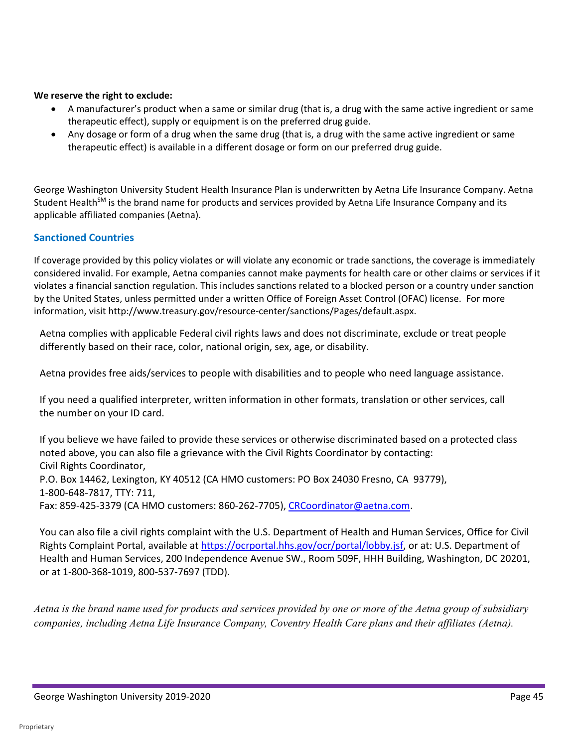#### **We reserve the right to exclude:**

- A manufacturer's product when a same or similar drug (that is, a drug with the same active ingredient or same therapeutic effect), supply or equipment is on the preferred drug guide.
- • Any dosage or form of a drug when the same drug (that is, a drug with the same active ingredient or same therapeutic effect) is available in a different dosage or form on our preferred drug guide.

 George Washington University Student Health Insurance Plan is underwritten by Aetna Life Insurance Company. Aetna Student Health<sup>SM</sup> is the brand name for products and services provided by Aetna Life Insurance Company and its applicable affiliated companies (Aetna).

#### **Sanctioned Countries**

 considered invalid. For example, Aetna companies cannot make payments for health care or other claims or services if it violates a financial sanction regulation. This includes sanctions related to a blocked person or a country under sanction by the United States, unless permitted under a written Office of Foreign Asset Control (OFAC) license. For more If coverage provided by this policy violates or will violate any economic or trade sanctions, the coverage is immediately information, visit [http://www.treasury.gov/resource-center/sanctions/Pages/default.aspx.](http://www.treasury.gov/resource-center/sanctions/Pages/default.aspx)

 differently based on their race, color, national origin, sex, age, or disability. Aetna complies with applicable Federal civil rights laws and does not discriminate, exclude or treat people

Aetna provides free aids/services to people with disabilities and to people who need language assistance.

 the number on your ID card. If you need a qualified interpreter, written information in other formats, translation or other services, call

 If you believe we have failed to provide these services or otherwise discriminated based on a protected class noted above, you can also file a grievance with the Civil Rights Coordinator by contacting: P.O. Box 14462, Lexington, KY 40512 (CA HMO customers: PO Box 24030 Fresno, CA 93779), 1-800-648-7817, TTY: 711, Fax: 859-425-3379 (CA HMO customers: 860-262-7705), [CRCoordinator@aetna.com.](mailto:CRCoordinator@aetna.com) Civil Rights Coordinator,

 You can also file a civil rights complaint with the U.S. Department of Health and Human Services, Office for Civil Health and Human Services, 200 Independence Avenue SW., Room 509F, HHH Building, Washington, DC 20201, or at 1-800-368-1019, 800-537-7697 (TDD). Rights Complaint Portal, available at [https://ocrportal.hhs.gov/ocr/portal/lobby.jsf, o](https://ocrportal.hhs.gov/ocr/portal/lobby.jsf)r at: U.S. Department of

 *Aetna is the brand name used for products and services provided by one or more of the Aetna group of subsidiary companies, including Aetna Life Insurance Company, Coventry Health Care plans and their affiliates (Aetna).*